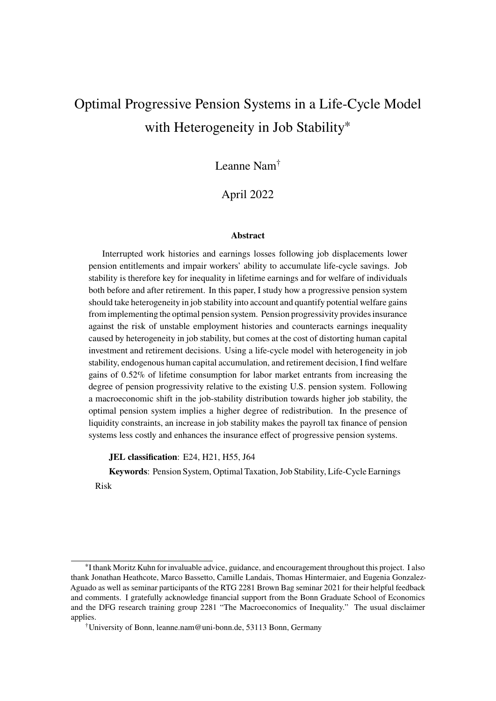# <span id="page-0-0"></span>Optimal Progressive Pension Systems in a Life-Cycle Model with Heterogeneity in Job Stability<sup>\*</sup>

Leanne Nam†

April 2022

#### **Abstract**

Interrupted work histories and earnings losses following job displacements lower pension entitlements and impair workers' ability to accumulate life-cycle savings. Job stability is therefore key for inequality in lifetime earnings and for welfare of individuals both before and after retirement. In this paper, I study how a progressive pension system should take heterogeneity in job stability into account and quantify potential welfare gains from implementing the optimal pension system. Pension progressivity provides insurance against the risk of unstable employment histories and counteracts earnings inequality caused by heterogeneity in job stability, but comes at the cost of distorting human capital investment and retirement decisions. Using a life-cycle model with heterogeneity in job stability, endogenous human capital accumulation, and retirement decision, I find welfare gains of 0.52% of lifetime consumption for labor market entrants from increasing the degree of pension progressivity relative to the existing U.S. pension system. Following a macroeconomic shift in the job-stability distribution towards higher job stability, the optimal pension system implies a higher degree of redistribution. In the presence of liquidity constraints, an increase in job stability makes the payroll tax finance of pension systems less costly and enhances the insurance effect of progressive pension systems.

**JEL classification**: E24, H21, H55, J64

**Keywords**: Pension System, Optimal Taxation, Job Stability, Life-Cycle Earnings Risk

<sup>∗</sup> I thank Moritz Kuhn for invaluable advice, guidance, and encouragement throughout this project. I also thank Jonathan Heathcote, Marco Bassetto, Camille Landais, Thomas Hintermaier, and Eugenia Gonzalez-Aguado as well as seminar participants of the RTG 2281 Brown Bag seminar 2021 for their helpful feedback and comments. I gratefully acknowledge financial support from the Bonn Graduate School of Economics and the DFG research training group 2281 "The Macroeconomics of Inequality." The usual disclaimer applies.

<sup>†</sup>University of Bonn, leanne.nam@uni-bonn.de, 53113 Bonn, Germany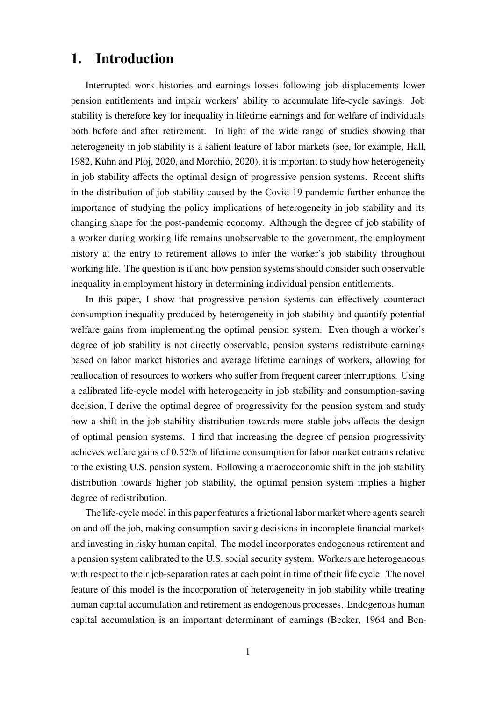# **1. Introduction**

Interrupted work histories and earnings losses following job displacements lower pension entitlements and impair workers' ability to accumulate life-cycle savings. Job stability is therefore key for inequality in lifetime earnings and for welfare of individuals both before and after retirement. In light of the wide range of studies showing that heterogeneity in job stability is a salient feature of labor markets (see, for example, Hall, [1982,](#page-45-0) Kuhn and Ploj, [2020,](#page-45-1) and Morchio, [2020\)](#page-46-0), it is important to study how heterogeneity in job stability affects the optimal design of progressive pension systems. Recent shifts in the distribution of job stability caused by the Covid-19 pandemic further enhance the importance of studying the policy implications of heterogeneity in job stability and its changing shape for the post-pandemic economy. Although the degree of job stability of a worker during working life remains unobservable to the government, the employment history at the entry to retirement allows to infer the worker's job stability throughout working life. The question is if and how pension systems should consider such observable inequality in employment history in determining individual pension entitlements.

In this paper, I show that progressive pension systems can effectively counteract consumption inequality produced by heterogeneity in job stability and quantify potential welfare gains from implementing the optimal pension system. Even though a worker's degree of job stability is not directly observable, pension systems redistribute earnings based on labor market histories and average lifetime earnings of workers, allowing for reallocation of resources to workers who suffer from frequent career interruptions. Using a calibrated life-cycle model with heterogeneity in job stability and consumption-saving decision, I derive the optimal degree of progressivity for the pension system and study how a shift in the job-stability distribution towards more stable jobs affects the design of optimal pension systems. I find that increasing the degree of pension progressivity achieves welfare gains of 0.52% of lifetime consumption for labor market entrants relative to the existing U.S. pension system. Following a macroeconomic shift in the job stability distribution towards higher job stability, the optimal pension system implies a higher degree of redistribution.

The life-cycle model in this paper features a frictional labor market where agents search on and off the job, making consumption-saving decisions in incomplete financial markets and investing in risky human capital. The model incorporates endogenous retirement and a pension system calibrated to the U.S. social security system. Workers are heterogeneous with respect to their job-separation rates at each point in time of their life cycle. The novel feature of this model is the incorporation of heterogeneity in job stability while treating human capital accumulation and retirement as endogenous processes. Endogenous human capital accumulation is an important determinant of earnings (Becker, [1964](#page-43-0) and Ben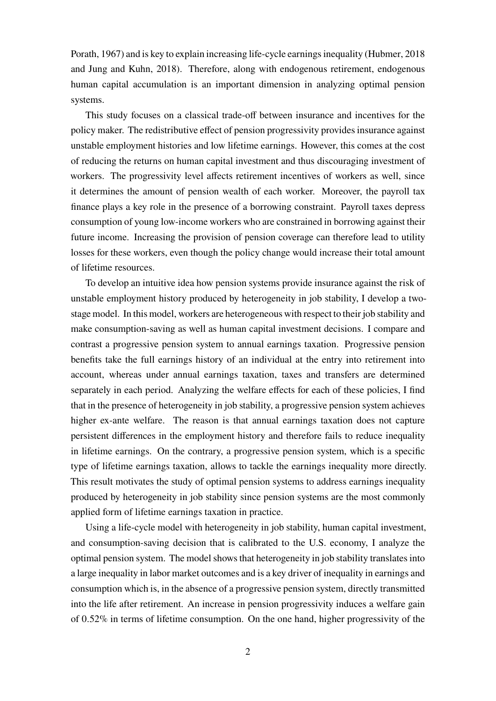Porath, [1967\)](#page-43-1) and is key to explain increasing life-cycle earnings inequality (Hubmer, [2018](#page-45-2) and Jung and Kuhn, [2018\)](#page-45-3). Therefore, along with endogenous retirement, endogenous human capital accumulation is an important dimension in analyzing optimal pension systems.

This study focuses on a classical trade-off between insurance and incentives for the policy maker. The redistributive effect of pension progressivity provides insurance against unstable employment histories and low lifetime earnings. However, this comes at the cost of reducing the returns on human capital investment and thus discouraging investment of workers. The progressivity level affects retirement incentives of workers as well, since it determines the amount of pension wealth of each worker. Moreover, the payroll tax finance plays a key role in the presence of a borrowing constraint. Payroll taxes depress consumption of young low-income workers who are constrained in borrowing against their future income. Increasing the provision of pension coverage can therefore lead to utility losses for these workers, even though the policy change would increase their total amount of lifetime resources.

To develop an intuitive idea how pension systems provide insurance against the risk of unstable employment history produced by heterogeneity in job stability, I develop a twostage model. In this model, workers are heterogeneous with respect to their job stability and make consumption-saving as well as human capital investment decisions. I compare and contrast a progressive pension system to annual earnings taxation. Progressive pension benefits take the full earnings history of an individual at the entry into retirement into account, whereas under annual earnings taxation, taxes and transfers are determined separately in each period. Analyzing the welfare effects for each of these policies, I find that in the presence of heterogeneity in job stability, a progressive pension system achieves higher ex-ante welfare. The reason is that annual earnings taxation does not capture persistent differences in the employment history and therefore fails to reduce inequality in lifetime earnings. On the contrary, a progressive pension system, which is a specific type of lifetime earnings taxation, allows to tackle the earnings inequality more directly. This result motivates the study of optimal pension systems to address earnings inequality produced by heterogeneity in job stability since pension systems are the most commonly applied form of lifetime earnings taxation in practice.

Using a life-cycle model with heterogeneity in job stability, human capital investment, and consumption-saving decision that is calibrated to the U.S. economy, I analyze the optimal pension system. The model shows that heterogeneity in job stability translates into a large inequality in labor market outcomes and is a key driver of inequality in earnings and consumption which is, in the absence of a progressive pension system, directly transmitted into the life after retirement. An increase in pension progressivity induces a welfare gain of 0.52% in terms of lifetime consumption. On the one hand, higher progressivity of the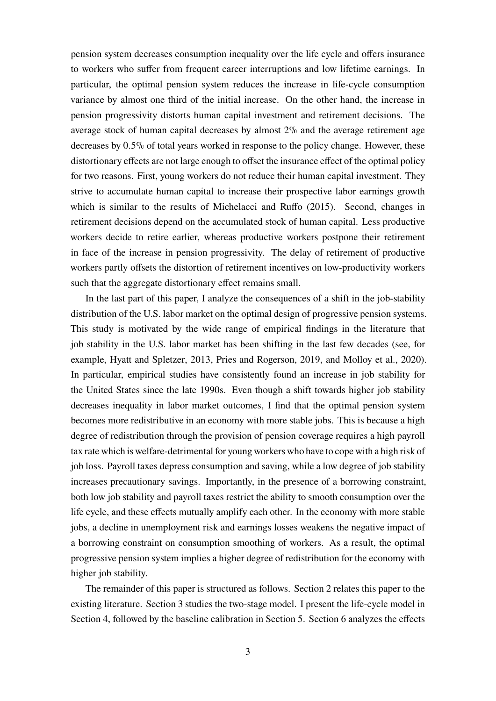pension system decreases consumption inequality over the life cycle and offers insurance to workers who suffer from frequent career interruptions and low lifetime earnings. In particular, the optimal pension system reduces the increase in life-cycle consumption variance by almost one third of the initial increase. On the other hand, the increase in pension progressivity distorts human capital investment and retirement decisions. The average stock of human capital decreases by almost 2% and the average retirement age decreases by 0.5% of total years worked in response to the policy change. However, these distortionary effects are not large enough to offset the insurance effect of the optimal policy for two reasons. First, young workers do not reduce their human capital investment. They strive to accumulate human capital to increase their prospective labor earnings growth which is similar to the results of [Michelacci and Ruffo \(2015\)](#page-46-1). Second, changes in retirement decisions depend on the accumulated stock of human capital. Less productive workers decide to retire earlier, whereas productive workers postpone their retirement in face of the increase in pension progressivity. The delay of retirement of productive workers partly offsets the distortion of retirement incentives on low-productivity workers such that the aggregate distortionary effect remains small.

In the last part of this paper, I analyze the consequences of a shift in the job-stability distribution of the U.S. labor market on the optimal design of progressive pension systems. This study is motivated by the wide range of empirical findings in the literature that job stability in the U.S. labor market has been shifting in the last few decades (see, for example, Hyatt and Spletzer, [2013,](#page-45-4) Pries and Rogerson, [2019,](#page-46-2) and Molloy et al., [2020\)](#page-46-3). In particular, empirical studies have consistently found an increase in job stability for the United States since the late 1990s. Even though a shift towards higher job stability decreases inequality in labor market outcomes, I find that the optimal pension system becomes more redistributive in an economy with more stable jobs. This is because a high degree of redistribution through the provision of pension coverage requires a high payroll tax rate which is welfare-detrimental for young workers who have to cope with a high risk of job loss. Payroll taxes depress consumption and saving, while a low degree of job stability increases precautionary savings. Importantly, in the presence of a borrowing constraint, both low job stability and payroll taxes restrict the ability to smooth consumption over the life cycle, and these effects mutually amplify each other. In the economy with more stable jobs, a decline in unemployment risk and earnings losses weakens the negative impact of a borrowing constraint on consumption smoothing of workers. As a result, the optimal progressive pension system implies a higher degree of redistribution for the economy with higher job stability.

The remainder of this paper is structured as follows. Section [2](#page-4-0) relates this paper to the existing literature. Section [3](#page-5-0) studies the two-stage model. I present the life-cycle model in Section [4,](#page-13-0) followed by the baseline calibration in Section [5.](#page-17-0) Section [6](#page-21-0) analyzes the effects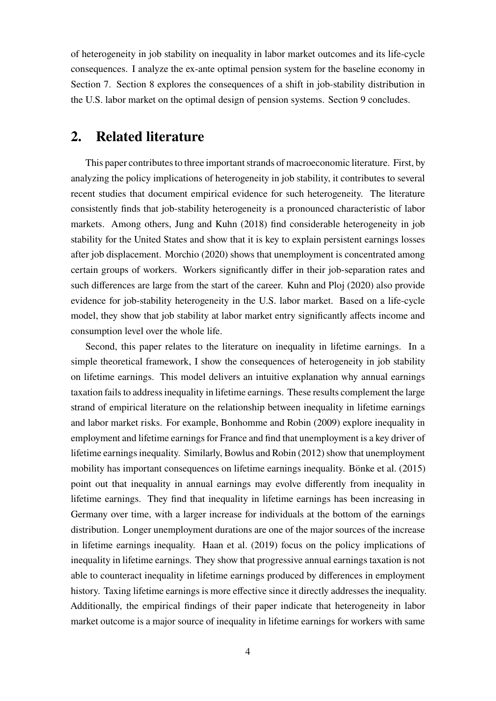of heterogeneity in job stability on inequality in labor market outcomes and its life-cycle consequences. I analyze the ex-ante optimal pension system for the baseline economy in Section [7.](#page-26-0) Section [8](#page-33-0) explores the consequences of a shift in job-stability distribution in the U.S. labor market on the optimal design of pension systems. Section [9](#page-40-0) concludes.

# <span id="page-4-0"></span>**2. Related literature**

This paper contributes to three important strands of macroeconomic literature. First, by analyzing the policy implications of heterogeneity in job stability, it contributes to several recent studies that document empirical evidence for such heterogeneity. The literature consistently finds that job-stability heterogeneity is a pronounced characteristic of labor markets. Among others, [Jung and Kuhn \(2018\)](#page-45-3) find considerable heterogeneity in job stability for the United States and show that it is key to explain persistent earnings losses after job displacement. [Morchio \(2020\)](#page-46-0) shows that unemployment is concentrated among certain groups of workers. Workers significantly differ in their job-separation rates and such differences are large from the start of the career. [Kuhn and Ploj \(2020\)](#page-45-1) also provide evidence for job-stability heterogeneity in the U.S. labor market. Based on a life-cycle model, they show that job stability at labor market entry significantly affects income and consumption level over the whole life.

Second, this paper relates to the literature on inequality in lifetime earnings. In a simple theoretical framework, I show the consequences of heterogeneity in job stability on lifetime earnings. This model delivers an intuitive explanation why annual earnings taxation fails to address inequality in lifetime earnings. These results complement the large strand of empirical literature on the relationship between inequality in lifetime earnings and labor market risks. For example, [Bonhomme and Robin \(2009\)](#page-43-2) explore inequality in employment and lifetime earnings for France and find that unemployment is a key driver of lifetime earnings inequality. Similarly, [Bowlus and Robin \(2012\)](#page-43-3) show that unemployment mobility has important consequences on lifetime earnings inequality. [Bönke et al. \(2015\)](#page-43-4) point out that inequality in annual earnings may evolve differently from inequality in lifetime earnings. They find that inequality in lifetime earnings has been increasing in Germany over time, with a larger increase for individuals at the bottom of the earnings distribution. Longer unemployment durations are one of the major sources of the increase in lifetime earnings inequality. [Haan et al. \(2019\)](#page-45-5) focus on the policy implications of inequality in lifetime earnings. They show that progressive annual earnings taxation is not able to counteract inequality in lifetime earnings produced by differences in employment history. Taxing lifetime earnings is more effective since it directly addresses the inequality. Additionally, the empirical findings of their paper indicate that heterogeneity in labor market outcome is a major source of inequality in lifetime earnings for workers with same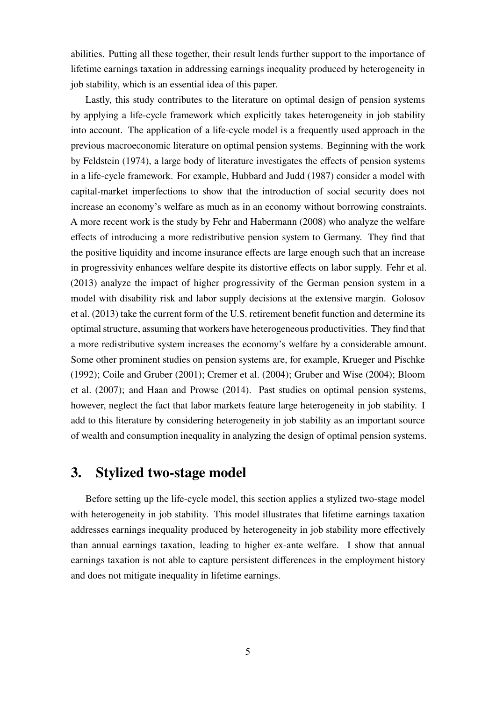abilities. Putting all these together, their result lends further support to the importance of lifetime earnings taxation in addressing earnings inequality produced by heterogeneity in job stability, which is an essential idea of this paper.

Lastly, this study contributes to the literature on optimal design of pension systems by applying a life-cycle framework which explicitly takes heterogeneity in job stability into account. The application of a life-cycle model is a frequently used approach in the previous macroeconomic literature on optimal pension systems. Beginning with the work by [Feldstein \(1974\)](#page-44-0), a large body of literature investigates the effects of pension systems in a life-cycle framework. For example, [Hubbard and Judd \(1987\)](#page-45-6) consider a model with capital-market imperfections to show that the introduction of social security does not increase an economy's welfare as much as in an economy without borrowing constraints. A more recent work is the study by [Fehr and Habermann \(2008\)](#page-44-1) who analyze the welfare effects of introducing a more redistributive pension system to Germany. They find that the positive liquidity and income insurance effects are large enough such that an increase in progressivity enhances welfare despite its distortive effects on labor supply. [Fehr et al.](#page-44-2) [\(2013\)](#page-44-2) analyze the impact of higher progressivity of the German pension system in a model with disability risk and labor supply decisions at the extensive margin. [Golosov](#page-44-3) [et al. \(2013\)](#page-44-3) take the current form of the U.S. retirement benefit function and determine its optimal structure, assuming that workers have heterogeneous productivities. They find that a more redistributive system increases the economy's welfare by a considerable amount. Some other prominent studies on pension systems are, for example, [Krueger and Pischke](#page-45-7) [\(1992\)](#page-45-7); [Coile and Gruber \(2001\)](#page-44-4); [Cremer et al. \(2004\)](#page-44-5); [Gruber and Wise \(2004\)](#page-45-8); [Bloom](#page-43-5) [et al. \(2007\)](#page-43-5); and [Haan and Prowse \(2014\)](#page-45-9). Past studies on optimal pension systems, however, neglect the fact that labor markets feature large heterogeneity in job stability. I add to this literature by considering heterogeneity in job stability as an important source of wealth and consumption inequality in analyzing the design of optimal pension systems.

# <span id="page-5-0"></span>**3. Stylized two-stage model**

Before setting up the life-cycle model, this section applies a stylized two-stage model with heterogeneity in job stability. This model illustrates that lifetime earnings taxation addresses earnings inequality produced by heterogeneity in job stability more effectively than annual earnings taxation, leading to higher ex-ante welfare. I show that annual earnings taxation is not able to capture persistent differences in the employment history and does not mitigate inequality in lifetime earnings.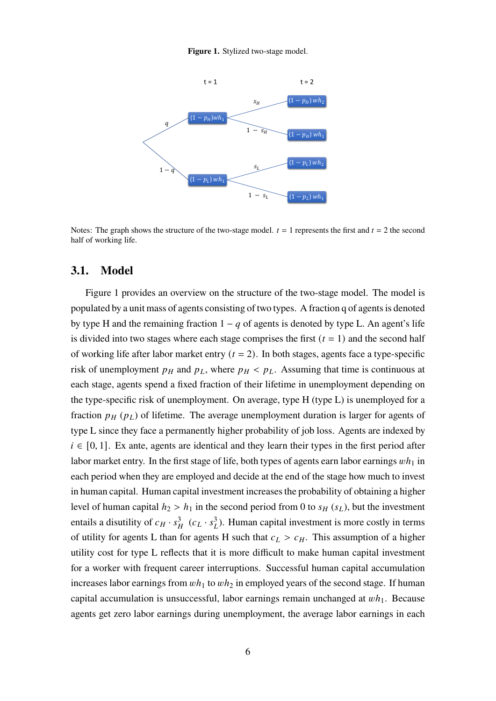**Figure 1.** Stylized two-stage model.

<span id="page-6-0"></span>

Notes: The graph shows the structure of the two-stage model.  $t = 1$  represents the first and  $t = 2$  the second half of working life.

## **3.1. Model**

Figure [1](#page-6-0) provides an overview on the structure of the two-stage model. The model is populated by a unit mass of agents consisting of two types. A fraction q of agents is denoted by type H and the remaining fraction  $1 - q$  of agents is denoted by type L. An agent's life is divided into two stages where each stage comprises the first  $(t = 1)$  and the second half of working life after labor market entry  $(t = 2)$ . In both stages, agents face a type-specific risk of unemployment  $p_H$  and  $p_L$ , where  $p_H < p_L$ . Assuming that time is continuous at each stage, agents spend a fixed fraction of their lifetime in unemployment depending on the type-specific risk of unemployment. On average, type H (type L) is unemployed for a fraction  $p_H(p_L)$  of lifetime. The average unemployment duration is larger for agents of type L since they face a permanently higher probability of job loss. Agents are indexed by  $i \in [0, 1]$ . Ex ante, agents are identical and they learn their types in the first period after labor market entry. In the first stage of life, both types of agents earn labor earnings  $wh_1$  in each period when they are employed and decide at the end of the stage how much to invest in human capital. Human capital investment increases the probability of obtaining a higher level of human capital  $h_2 > h_1$  in the second period from 0 to  $s_H(s_L)$ , but the investment entails a disutility of  $c_H \cdot s_H^3$   $(c_L \cdot s_L^3)$ . Human capital investment is more costly in terms of utility for agents L than for agents H such that  $c_L > c_H$ . This assumption of a higher utility cost for type L reflects that it is more difficult to make human capital investment for a worker with frequent career interruptions. Successful human capital accumulation increases labor earnings from  $wh_1$  to  $wh_2$  in employed years of the second stage. If human capital accumulation is unsuccessful, labor earnings remain unchanged at  $wh_1$ . Because agents get zero labor earnings during unemployment, the average labor earnings in each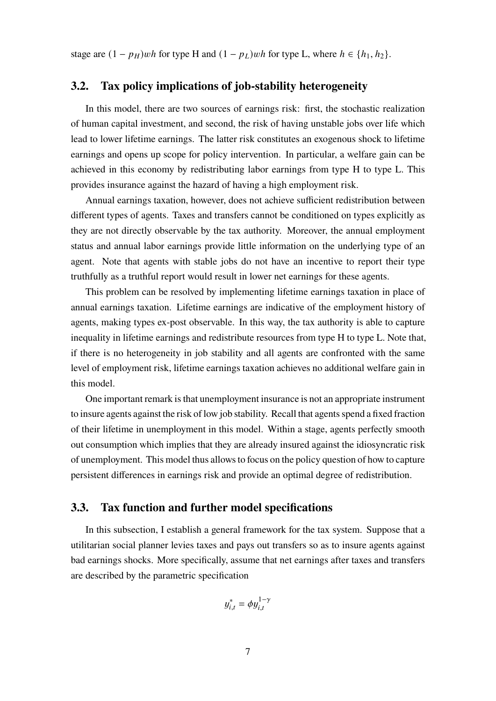stage are  $(1 - p_H)wh$  for type H and  $(1 - p_L)wh$  for type L, where  $h \in \{h_1, h_2\}$ .

## **3.2. Tax policy implications of job-stability heterogeneity**

In this model, there are two sources of earnings risk: first, the stochastic realization of human capital investment, and second, the risk of having unstable jobs over life which lead to lower lifetime earnings. The latter risk constitutes an exogenous shock to lifetime earnings and opens up scope for policy intervention. In particular, a welfare gain can be achieved in this economy by redistributing labor earnings from type H to type L. This provides insurance against the hazard of having a high employment risk.

Annual earnings taxation, however, does not achieve sufficient redistribution between different types of agents. Taxes and transfers cannot be conditioned on types explicitly as they are not directly observable by the tax authority. Moreover, the annual employment status and annual labor earnings provide little information on the underlying type of an agent. Note that agents with stable jobs do not have an incentive to report their type truthfully as a truthful report would result in lower net earnings for these agents.

This problem can be resolved by implementing lifetime earnings taxation in place of annual earnings taxation. Lifetime earnings are indicative of the employment history of agents, making types ex-post observable. In this way, the tax authority is able to capture inequality in lifetime earnings and redistribute resources from type H to type L. Note that, if there is no heterogeneity in job stability and all agents are confronted with the same level of employment risk, lifetime earnings taxation achieves no additional welfare gain in this model.

One important remark is that unemployment insurance is not an appropriate instrument to insure agents against the risk of low job stability. Recall that agents spend a fixed fraction of their lifetime in unemployment in this model. Within a stage, agents perfectly smooth out consumption which implies that they are already insured against the idiosyncratic risk of unemployment. This model thus allows to focus on the policy question of how to capture persistent differences in earnings risk and provide an optimal degree of redistribution.

## **3.3. Tax function and further model specifications**

In this subsection, I establish a general framework for the tax system. Suppose that a utilitarian social planner levies taxes and pays out transfers so as to insure agents against bad earnings shocks. More specifically, assume that net earnings after taxes and transfers are described by the parametric specification

$$
y_{i,t}^* = \phi y_{i,t}^{1-\gamma}
$$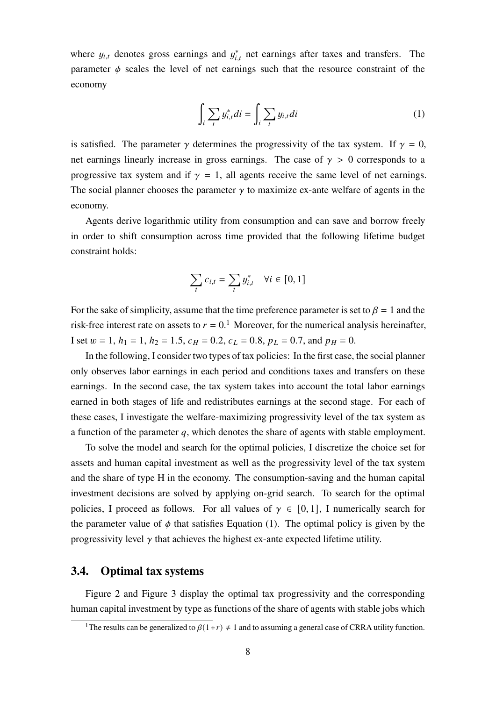where  $y_{i,t}$  denotes gross earnings and  $y_{i,t}^*$  net earnings after taxes and transfers. The parameter  $\phi$  scales the level of net earnings such that the resource constraint of the economy

<span id="page-8-0"></span>
$$
\int_{i} \sum_{t} y_{i,t}^{*} di = \int_{i} \sum_{t} y_{i,t} di
$$
 (1)

is satisfied. The parameter  $\gamma$  determines the progressivity of the tax system. If  $\gamma = 0$ , net earnings linearly increase in gross earnings. The case of  $\gamma > 0$  corresponds to a progressive tax system and if  $\gamma = 1$ , all agents receive the same level of net earnings. The social planner chooses the parameter  $\gamma$  to maximize ex-ante welfare of agents in the economy.

Agents derive logarithmic utility from consumption and can save and borrow freely in order to shift consumption across time provided that the following lifetime budget constraint holds:

$$
\sum_{t} c_{i,t} = \sum_{t} y_{i,t}^* \quad \forall i \in [0,1]
$$

For the sake of simplicity, assume that the time preference parameter is set to  $\beta = 1$  and the risk-free interest rate on assets to  $r = 0.1$  $r = 0.1$  Moreover, for the numerical analysis hereinafter, I set  $w = 1$ ,  $h_1 = 1$ ,  $h_2 = 1.5$ ,  $c_H = 0.2$ ,  $c_L = 0.8$ ,  $p_L = 0.7$ , and  $p_H = 0$ .

In the following, I consider two types of tax policies: In the first case, the social planner only observes labor earnings in each period and conditions taxes and transfers on these earnings. In the second case, the tax system takes into account the total labor earnings earned in both stages of life and redistributes earnings at the second stage. For each of these cases, I investigate the welfare-maximizing progressivity level of the tax system as a function of the parameter  $q$ , which denotes the share of agents with stable employment.

To solve the model and search for the optimal policies, I discretize the choice set for assets and human capital investment as well as the progressivity level of the tax system and the share of type H in the economy. The consumption-saving and the human capital investment decisions are solved by applying on-grid search. To search for the optimal policies, I proceed as follows. For all values of  $\gamma \in [0,1]$ , I numerically search for the parameter value of  $\phi$  that satisfies Equation [\(1\)](#page-8-0). The optimal policy is given by the progressivity level  $\gamma$  that achieves the highest ex-ante expected lifetime utility.

## **3.4. Optimal tax systems**

Figure 2 and Figure 3 display the optimal tax progressivity and the corresponding human capital investment by type as functions of the share of agents with stable jobs which

<sup>&</sup>lt;sup>1</sup>The results can be generalized to  $\beta(1+r) \neq 1$  and to assuming a general case of CRRA utility function.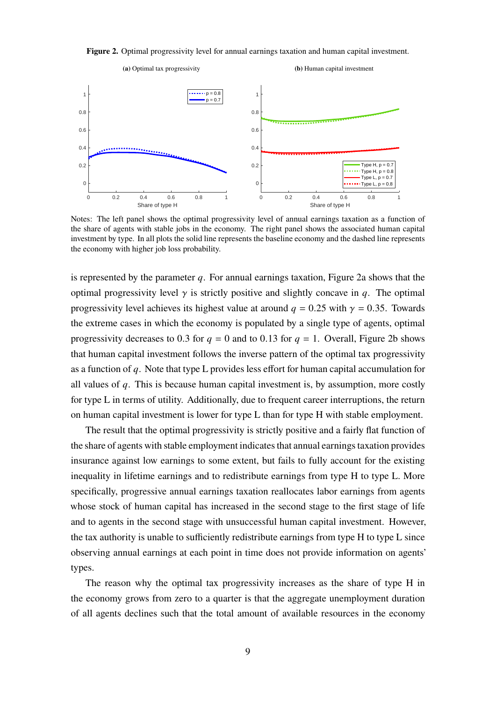<span id="page-9-0"></span>**Figure 2.** Optimal progressivity level for annual earnings taxation and human capital investment.



Notes: The left panel shows the optimal progressivity level of annual earnings taxation as a function of the share of agents with stable jobs in the economy. The right panel shows the associated human capital investment by type. In all plots the solid line represents the baseline economy and the dashed line represents the economy with higher job loss probability.

is represented by the parameter  $q$ . For annual earnings taxation, Figure 2a shows that the optimal progressivity level  $\gamma$  is strictly positive and slightly concave in q. The optimal progressivity level achieves its highest value at around  $q = 0.25$  with  $\gamma = 0.35$ . Towards the extreme cases in which the economy is populated by a single type of agents, optimal progressivity decreases to 0.3 for  $q = 0$  and to 0.13 for  $q = 1$ . Overall, Figure [2b](#page-9-0) shows that human capital investment follows the inverse pattern of the optimal tax progressivity as a function of  $q$ . Note that type L provides less effort for human capital accumulation for all values of  $q$ . This is because human capital investment is, by assumption, more costly for type L in terms of utility. Additionally, due to frequent career interruptions, the return on human capital investment is lower for type L than for type H with stable employment.

The result that the optimal progressivity is strictly positive and a fairly flat function of the share of agents with stable employment indicates that annual earnings taxation provides insurance against low earnings to some extent, but fails to fully account for the existing inequality in lifetime earnings and to redistribute earnings from type H to type L. More specifically, progressive annual earnings taxation reallocates labor earnings from agents whose stock of human capital has increased in the second stage to the first stage of life and to agents in the second stage with unsuccessful human capital investment. However, the tax authority is unable to sufficiently redistribute earnings from type H to type L since observing annual earnings at each point in time does not provide information on agents' types.

The reason why the optimal tax progressivity increases as the share of type H in the economy grows from zero to a quarter is that the aggregate unemployment duration of all agents declines such that the total amount of available resources in the economy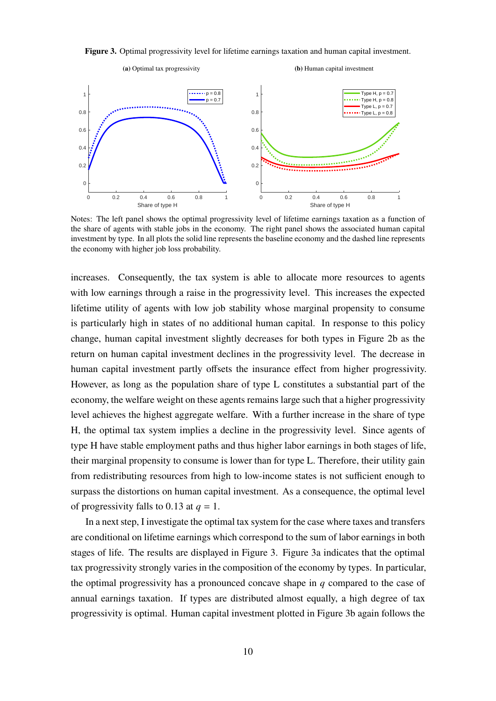<span id="page-10-0"></span>**Figure 3.** Optimal progressivity level for lifetime earnings taxation and human capital investment.



Notes: The left panel shows the optimal progressivity level of lifetime earnings taxation as a function of the share of agents with stable jobs in the economy. The right panel shows the associated human capital investment by type. In all plots the solid line represents the baseline economy and the dashed line represents the economy with higher job loss probability.

increases. Consequently, the tax system is able to allocate more resources to agents with low earnings through a raise in the progressivity level. This increases the expected lifetime utility of agents with low job stability whose marginal propensity to consume is particularly high in states of no additional human capital. In response to this policy change, human capital investment slightly decreases for both types in Figure [2b](#page-9-0) as the return on human capital investment declines in the progressivity level. The decrease in human capital investment partly offsets the insurance effect from higher progressivity. However, as long as the population share of type L constitutes a substantial part of the economy, the welfare weight on these agents remains large such that a higher progressivity level achieves the highest aggregate welfare. With a further increase in the share of type H, the optimal tax system implies a decline in the progressivity level. Since agents of type H have stable employment paths and thus higher labor earnings in both stages of life, their marginal propensity to consume is lower than for type L. Therefore, their utility gain from redistributing resources from high to low-income states is not sufficient enough to surpass the distortions on human capital investment. As a consequence, the optimal level of progressivity falls to 0.13 at  $q = 1$ .

In a next step, I investigate the optimal tax system for the case where taxes and transfers are conditional on lifetime earnings which correspond to the sum of labor earnings in both stages of life. The results are displayed in Figure [3.](#page-10-0) Figure [3a](#page-10-0) indicates that the optimal tax progressivity strongly varies in the composition of the economy by types. In particular, the optimal progressivity has a pronounced concave shape in  $q$  compared to the case of annual earnings taxation. If types are distributed almost equally, a high degree of tax progressivity is optimal. Human capital investment plotted in Figure [3b](#page-10-0) again follows the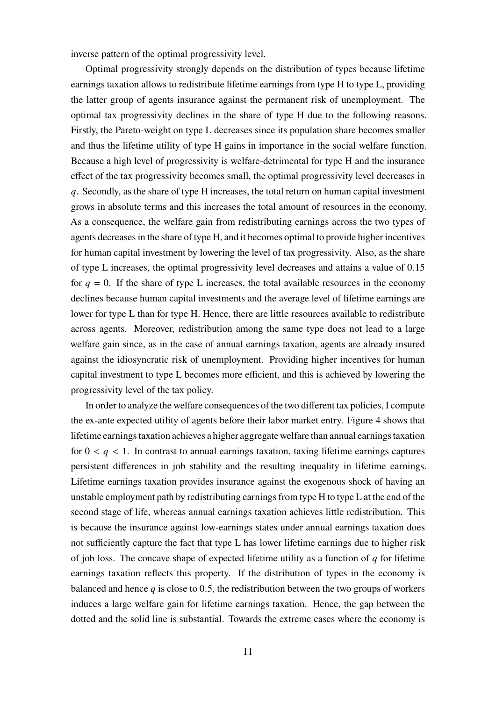inverse pattern of the optimal progressivity level.

Optimal progressivity strongly depends on the distribution of types because lifetime earnings taxation allows to redistribute lifetime earnings from type H to type L, providing the latter group of agents insurance against the permanent risk of unemployment. The optimal tax progressivity declines in the share of type H due to the following reasons. Firstly, the Pareto-weight on type L decreases since its population share becomes smaller and thus the lifetime utility of type H gains in importance in the social welfare function. Because a high level of progressivity is welfare-detrimental for type H and the insurance effect of the tax progressivity becomes small, the optimal progressivity level decreases in . Secondly, as the share of type H increases, the total return on human capital investment grows in absolute terms and this increases the total amount of resources in the economy. As a consequence, the welfare gain from redistributing earnings across the two types of agents decreases in the share of type H, and it becomes optimal to provide higher incentives for human capital investment by lowering the level of tax progressivity. Also, as the share of type L increases, the optimal progressivity level decreases and attains a value of 0.15 for  $q = 0$ . If the share of type L increases, the total available resources in the economy declines because human capital investments and the average level of lifetime earnings are lower for type L than for type H. Hence, there are little resources available to redistribute across agents. Moreover, redistribution among the same type does not lead to a large welfare gain since, as in the case of annual earnings taxation, agents are already insured against the idiosyncratic risk of unemployment. Providing higher incentives for human capital investment to type L becomes more efficient, and this is achieved by lowering the progressivity level of the tax policy.

In order to analyze the welfare consequences of the two different tax policies, I compute the ex-ante expected utility of agents before their labor market entry. Figure [4](#page-12-0) shows that lifetime earnings taxation achieves a higher aggregate welfare than annual earnings taxation for  $0 \lt q \lt 1$ . In contrast to annual earnings taxation, taxing lifetime earnings captures persistent differences in job stability and the resulting inequality in lifetime earnings. Lifetime earnings taxation provides insurance against the exogenous shock of having an unstable employment path by redistributing earnings from type H to type L at the end of the second stage of life, whereas annual earnings taxation achieves little redistribution. This is because the insurance against low-earnings states under annual earnings taxation does not sufficiently capture the fact that type L has lower lifetime earnings due to higher risk of job loss. The concave shape of expected lifetime utility as a function of  $q$  for lifetime earnings taxation reflects this property. If the distribution of types in the economy is balanced and hence  $q$  is close to 0.5, the redistribution between the two groups of workers induces a large welfare gain for lifetime earnings taxation. Hence, the gap between the dotted and the solid line is substantial. Towards the extreme cases where the economy is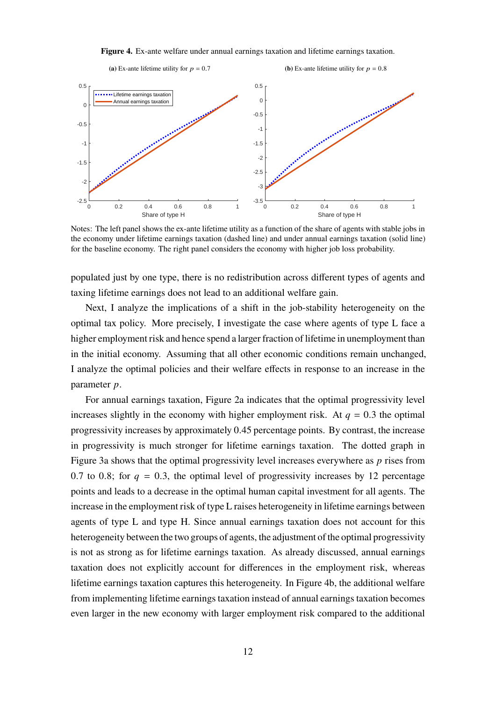**Figure 4.** Ex-ante welfare under annual earnings taxation and lifetime earnings taxation.

<span id="page-12-0"></span>

Notes: The left panel shows the ex-ante lifetime utility as a function of the share of agents with stable jobs in the economy under lifetime earnings taxation (dashed line) and under annual earnings taxation (solid line) for the baseline economy. The right panel considers the economy with higher job loss probability.

populated just by one type, there is no redistribution across different types of agents and taxing lifetime earnings does not lead to an additional welfare gain.

Next, I analyze the implications of a shift in the job-stability heterogeneity on the optimal tax policy. More precisely, I investigate the case where agents of type L face a higher employment risk and hence spend a larger fraction of lifetime in unemployment than in the initial economy. Assuming that all other economic conditions remain unchanged, I analyze the optimal policies and their welfare effects in response to an increase in the parameter  $p$ .

For annual earnings taxation, Figure [2a](#page-9-0) indicates that the optimal progressivity level increases slightly in the economy with higher employment risk. At  $q = 0.3$  the optimal progressivity increases by approximately 0.45 percentage points. By contrast, the increase in progressivity is much stronger for lifetime earnings taxation. The dotted graph in Figure [3a](#page-10-0) shows that the optimal progressivity level increases everywhere as  *rises from* 0.7 to 0.8; for  $q = 0.3$ , the optimal level of progressivity increases by 12 percentage points and leads to a decrease in the optimal human capital investment for all agents. The increase in the employment risk of type L raises heterogeneity in lifetime earnings between agents of type L and type H. Since annual earnings taxation does not account for this heterogeneity between the two groups of agents, the adjustment of the optimal progressivity is not as strong as for lifetime earnings taxation. As already discussed, annual earnings taxation does not explicitly account for differences in the employment risk, whereas lifetime earnings taxation captures this heterogeneity. In Figure [4b,](#page-12-0) the additional welfare from implementing lifetime earnings taxation instead of annual earnings taxation becomes even larger in the new economy with larger employment risk compared to the additional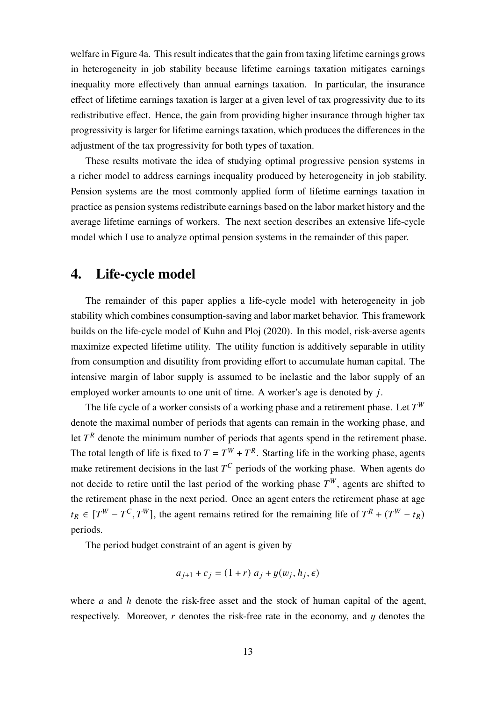welfare in Figure [4a.](#page-12-0) This result indicates that the gain from taxing lifetime earnings grows in heterogeneity in job stability because lifetime earnings taxation mitigates earnings inequality more effectively than annual earnings taxation. In particular, the insurance effect of lifetime earnings taxation is larger at a given level of tax progressivity due to its redistributive effect. Hence, the gain from providing higher insurance through higher tax progressivity is larger for lifetime earnings taxation, which produces the differences in the adjustment of the tax progressivity for both types of taxation.

These results motivate the idea of studying optimal progressive pension systems in a richer model to address earnings inequality produced by heterogeneity in job stability. Pension systems are the most commonly applied form of lifetime earnings taxation in practice as pension systems redistribute earnings based on the labor market history and the average lifetime earnings of workers. The next section describes an extensive life-cycle model which I use to analyze optimal pension systems in the remainder of this paper.

# <span id="page-13-0"></span>**4. Life-cycle model**

The remainder of this paper applies a life-cycle model with heterogeneity in job stability which combines consumption-saving and labor market behavior. This framework builds on the life-cycle model of [Kuhn and Ploj \(2020\)](#page-45-1). In this model, risk-averse agents maximize expected lifetime utility. The utility function is additively separable in utility from consumption and disutility from providing effort to accumulate human capital. The intensive margin of labor supply is assumed to be inelastic and the labor supply of an employed worker amounts to one unit of time. A worker's age is denoted by  $i$ .

The life cycle of a worker consists of a working phase and a retirement phase. Let  $T^W$ denote the maximal number of periods that agents can remain in the working phase, and let  $T<sup>R</sup>$  denote the minimum number of periods that agents spend in the retirement phase. The total length of life is fixed to  $T = T^W + T^R$ . Starting life in the working phase, agents make retirement decisions in the last  $T^C$  periods of the working phase. When agents do not decide to retire until the last period of the working phase  $T^W$ , agents are shifted to the retirement phase in the next period. Once an agent enters the retirement phase at age  $t_R \in [T^W - T^C, T^W]$ , the agent remains retired for the remaining life of  $T^R + (T^W - t_R)$ periods.

The period budget constraint of an agent is given by

$$
a_{j+1} + c_j = (1+r) a_j + y(w_j, h_j, \epsilon)
$$

where  $a$  and  $h$  denote the risk-free asset and the stock of human capital of the agent, respectively. Moreover,  $r$  denotes the risk-free rate in the economy, and  $u$  denotes the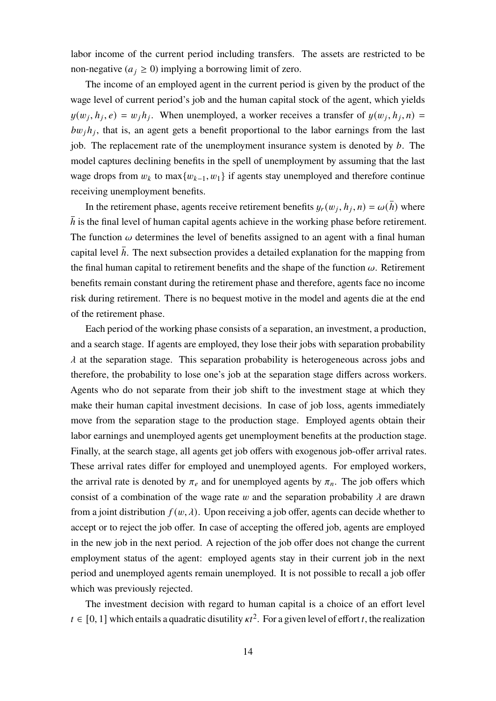labor income of the current period including transfers. The assets are restricted to be non-negative ( $a_i \ge 0$ ) implying a borrowing limit of zero.

The income of an employed agent in the current period is given by the product of the wage level of current period's job and the human capital stock of the agent, which yields  $y(w_i, h_i, e) = w_i h_i$ . When unemployed, a worker receives a transfer of  $y(w_i, h_i, n) =$  $bw_jh_j$ , that is, an agent gets a benefit proportional to the labor earnings from the last job. The replacement rate of the unemployment insurance system is denoted by  $b$ . The model captures declining benefits in the spell of unemployment by assuming that the last wage drops from  $w_k$  to max $\{w_{k-1}, w_1\}$  if agents stay unemployed and therefore continue receiving unemployment benefits.

In the retirement phase, agents receive retirement benefits  $y_r(w_i, h_i, n) = \omega(\bar{h})$  where h is the final level of human capital agents achieve in the working phase before retirement. The function  $\omega$  determines the level of benefits assigned to an agent with a final human capital level  $\bar{h}$ . The next subsection provides a detailed explanation for the mapping from the final human capital to retirement benefits and the shape of the function  $\omega$ . Retirement benefits remain constant during the retirement phase and therefore, agents face no income risk during retirement. There is no bequest motive in the model and agents die at the end of the retirement phase.

Each period of the working phase consists of a separation, an investment, a production, and a search stage. If agents are employed, they lose their jobs with separation probability  $\lambda$  at the separation stage. This separation probability is heterogeneous across jobs and therefore, the probability to lose one's job at the separation stage differs across workers. Agents who do not separate from their job shift to the investment stage at which they make their human capital investment decisions. In case of job loss, agents immediately move from the separation stage to the production stage. Employed agents obtain their labor earnings and unemployed agents get unemployment benefits at the production stage. Finally, at the search stage, all agents get job offers with exogenous job-offer arrival rates. These arrival rates differ for employed and unemployed agents. For employed workers, the arrival rate is denoted by  $\pi_e$  and for unemployed agents by  $\pi_n$ . The job offers which consist of a combination of the wage rate w and the separation probability  $\lambda$  are drawn from a joint distribution  $f(w, \lambda)$ . Upon receiving a job offer, agents can decide whether to accept or to reject the job offer. In case of accepting the offered job, agents are employed in the new job in the next period. A rejection of the job offer does not change the current employment status of the agent: employed agents stay in their current job in the next period and unemployed agents remain unemployed. It is not possible to recall a job offer which was previously rejected.

The investment decision with regard to human capital is a choice of an effort level  $t \in [0, 1]$  which entails a quadratic disutility  $\kappa t^2$ . For a given level of effort t, the realization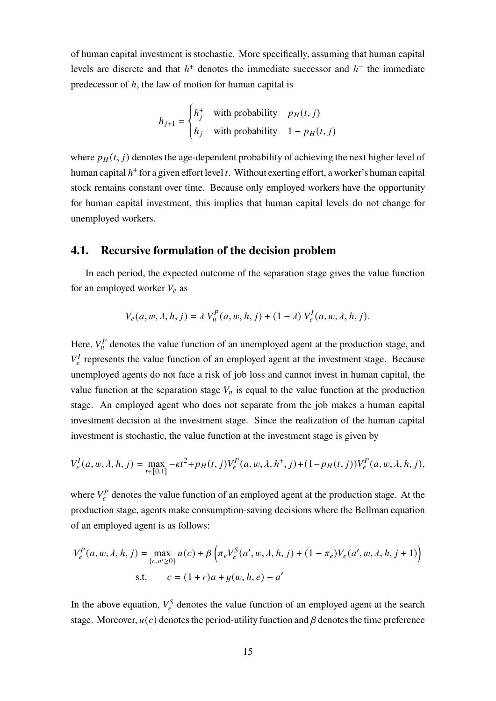of human capital investment is stochastic. More specifically, assuming that human capital levels are discrete and that  $h^+$  denotes the immediate successor and  $h^-$  the immediate predecessor of  $h$ , the law of motion for human capital is

$$
h_{j+1} = \begin{cases} h_j^+ & \text{with probability} \quad p_H(t,j) \\ h_j & \text{with probability} \quad 1 - p_H(t,j) \end{cases}
$$

where  $p_H(t, j)$  denotes the age-dependent probability of achieving the next higher level of human capital  $h^+$  for a given effort level t. Without exerting effort, a worker's human capital stock remains constant over time. Because only employed workers have the opportunity for human capital investment, this implies that human capital levels do not change for unemployed workers.

## <span id="page-15-0"></span>**4.1. Recursive formulation of the decision problem**

 $\overline{a}$ 

In each period, the expected outcome of the separation stage gives the value function for an employed worker  $V_e$  as

$$
V_e(a, w, \lambda, h, j) = \lambda V_n^P(a, w, h, j) + (1 - \lambda) V_e^I(a, w, \lambda, h, j).
$$

Here,  $V_n^P$  denotes the value function of an unemployed agent at the production stage, and  $V_e^I$  represents the value function of an employed agent at the investment stage. Because unemployed agents do not face a risk of job loss and cannot invest in human capital, the value function at the separation stage  $V_n$  is equal to the value function at the production stage. An employed agent who does not separate from the job makes a human capital investment decision at the investment stage. Since the realization of the human capital investment is stochastic, the value function at the investment stage is given by

$$
V_e^I(a, w, \lambda, h, j) = \max_{t \in [0,1]} -\kappa t^2 + p_H(t, j) V_e^P(a, w, \lambda, h^+, j) + (1 - p_H(t, j)) V_e^P(a, w, \lambda, h, j),
$$

where  $V_e^P$  denotes the value function of an employed agent at the production stage. At the production stage, agents make consumption-saving decisions where the Bellman equation of an employed agent is as follows:

$$
V_e^P(a, w, \lambda, h, j) = \max_{\{c, a' \ge 0\}} u(c) + \beta \left( \pi_e V_e^S(a', w, \lambda, h, j) + (1 - \pi_e) V_e(a', w, \lambda, h, j + 1) \right)
$$
  
s.t. 
$$
c = (1 + r)a + y(w, h, e) - a'
$$

In the above equation,  $V_e^S$  denotes the value function of an employed agent at the search stage. Moreover,  $u(c)$  denotes the period-utility function and  $\beta$  denotes the time preference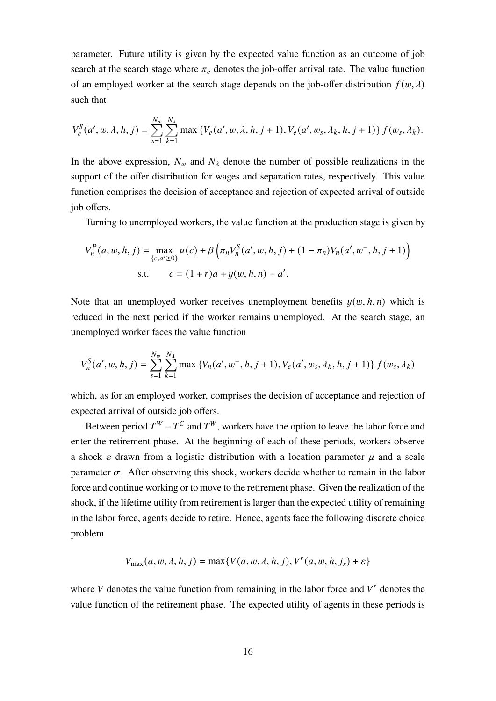parameter. Future utility is given by the expected value function as an outcome of job search at the search stage where  $\pi_e$  denotes the job-offer arrival rate. The value function of an employed worker at the search stage depends on the job-offer distribution  $f(w, \lambda)$ such that

$$
V_e^S(a', w, \lambda, h, j) = \sum_{s=1}^{N_w} \sum_{k=1}^{N_\lambda} \max \{ V_e(a', w, \lambda, h, j+1), V_e(a', w_s, \lambda_k, h, j+1) \} f(w_s, \lambda_k).
$$

In the above expression,  $N_w$  and  $N_\lambda$  denote the number of possible realizations in the support of the offer distribution for wages and separation rates, respectively. This value function comprises the decision of acceptance and rejection of expected arrival of outside job offers.

Turning to unemployed workers, the value function at the production stage is given by

$$
V_n^P(a, w, h, j) = \max_{\{c, a' \ge 0\}} u(c) + \beta \left( \pi_n V_n^S(a', w, h, j) + (1 - \pi_n) V_n(a', w^-, h, j + 1) \right)
$$
  
s.t. 
$$
c = (1 + r)a + y(w, h, n) - a'.
$$

Note that an unemployed worker receives unemployment benefits  $y(w, h, n)$  which is reduced in the next period if the worker remains unemployed. At the search stage, an unemployed worker faces the value function

$$
V_n^S(a', w, h, j) = \sum_{s=1}^{N_w} \sum_{k=1}^{N_\lambda} \max \{ V_n(a', w^-, h, j+1), V_e(a', w_s, \lambda_k, h, j+1) \} f(w_s, \lambda_k)
$$

which, as for an employed worker, comprises the decision of acceptance and rejection of expected arrival of outside job offers.

Between period  $T^W - T^C$  and  $T^W$ , workers have the option to leave the labor force and enter the retirement phase. At the beginning of each of these periods, workers observe a shock  $\varepsilon$  drawn from a logistic distribution with a location parameter  $\mu$  and a scale parameter  $\sigma$ . After observing this shock, workers decide whether to remain in the labor force and continue working or to move to the retirement phase. Given the realization of the shock, if the lifetime utility from retirement is larger than the expected utility of remaining in the labor force, agents decide to retire. Hence, agents face the following discrete choice problem

$$
V_{\max}(a, w, \lambda, h, j) = \max\{V(a, w, \lambda, h, j), V^{r}(a, w, h, j_{r}) + \varepsilon\}
$$

where  $V$  denotes the value function from remaining in the labor force and  $V<sup>r</sup>$  denotes the value function of the retirement phase. The expected utility of agents in these periods is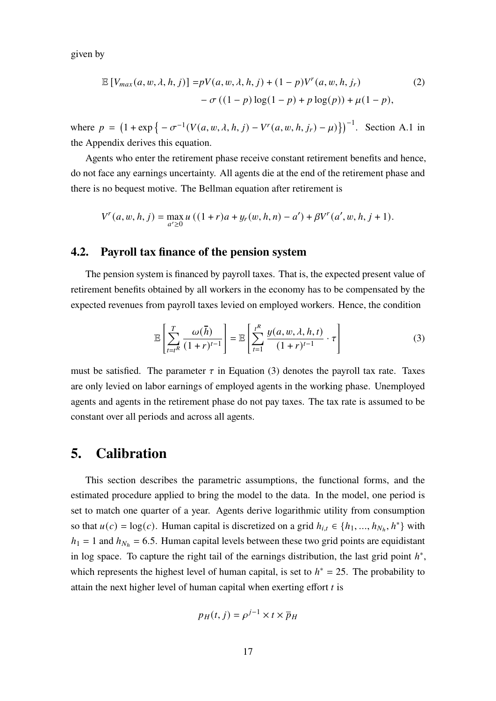given by

<span id="page-17-2"></span>
$$
\mathbb{E}\left[V_{max}(a, w, \lambda, h, j)\right] = pV(a, w, \lambda, h, j) + (1 - p)V^{r}(a, w, h, j_{r})
$$
\n
$$
-\sigma((1 - p)\log(1 - p) + p\log(p)) + \mu(1 - p),
$$
\n(2)

where  $p = (1 + \exp\{-\sigma^{-1}(V(a, w, \lambda, h, j) - V^r(a, w, h, j_r) - \mu)\})^{-1}$ . Section [A.1](#page-47-0) in the [Appendix](#page-47-1) derives this equation.

Agents who enter the retirement phase receive constant retirement benefits and hence, do not face any earnings uncertainty. All agents die at the end of the retirement phase and there is no bequest motive. The Bellman equation after retirement is

$$
V^{r}(a, w, h, j) = \max_{a' \ge 0} u ((1+r)a + y_r(w, h, n) - a') + \beta V^{r}(a', w, h, j+1).
$$

## **4.2. Payroll tax finance of the pension system**

The pension system is financed by payroll taxes. That is, the expected present value of retirement benefits obtained by all workers in the economy has to be compensated by the expected revenues from payroll taxes levied on employed workers. Hence, the condition

<span id="page-17-1"></span>
$$
\mathbb{E}\left[\sum_{t=t^R}^T \frac{\omega(\bar{h})}{(1+r)^{t-1}}\right] = \mathbb{E}\left[\sum_{t=1}^{t^R} \frac{y(a,w,\lambda,h,t)}{(1+r)^{t-1}} \cdot \tau\right]
$$
(3)

must be satisfied. The parameter  $\tau$  in Equation [\(3\)](#page-17-1) denotes the payroll tax rate. Taxes are only levied on labor earnings of employed agents in the working phase. Unemployed agents and agents in the retirement phase do not pay taxes. The tax rate is assumed to be constant over all periods and across all agents.

# <span id="page-17-0"></span>**5. Calibration**

This section describes the parametric assumptions, the functional forms, and the estimated procedure applied to bring the model to the data. In the model, one period is set to match one quarter of a year. Agents derive logarithmic utility from consumption so that  $u(c) = \log(c)$ . Human capital is discretized on a grid  $h_{i,t} \in \{h_1, ..., h_{N_h}, h^*\}$  with  $h_1 = 1$  and  $h_{N_h} = 6.5$ . Human capital levels between these two grid points are equidistant in log space. To capture the right tail of the earnings distribution, the last grid point  $h^*$ , which represents the highest level of human capital, is set to  $h^* = 25$ . The probability to attain the next higher level of human capital when exerting effort  $t$  is

$$
p_H(t, j) = \rho^{j-1} \times t \times \overline{p}_H
$$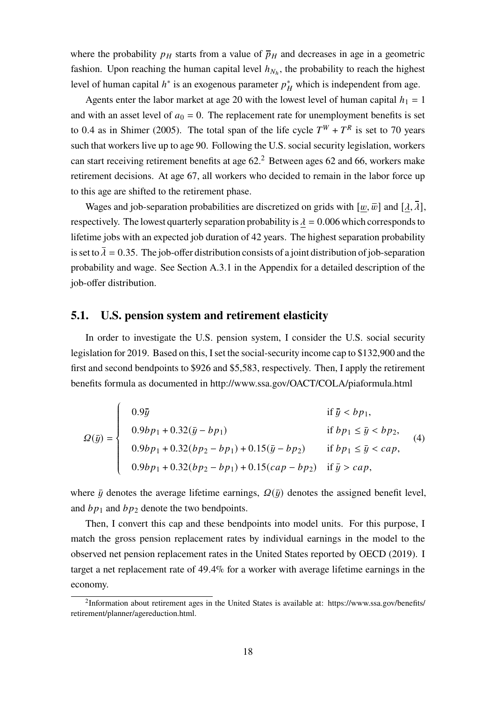where the probability  $p<sub>H</sub>$  starts from a value of  $\bar{p}<sub>H</sub>$  and decreases in age in a geometric fashion. Upon reaching the human capital level  $h_{N_h}$ , the probability to reach the highest level of human capital  $h^*$  is an exogenous parameter  $p^*_{H}$  which is independent from age.

Agents enter the labor market at age 20 with the lowest level of human capital  $h_1 = 1$ and with an asset level of  $a_0 = 0$ . The replacement rate for unemployment benefits is set to 0.4 as in [Shimer \(2005\)](#page-46-4). The total span of the life cycle  $T^W + T^R$  is set to 70 years such that workers live up to age 90. Following the U.S. social security legislation, workers can start receiving retirement benefits at age  $62<sup>2</sup>$  $62<sup>2</sup>$  $62<sup>2</sup>$  Between ages 62 and 66, workers make retirement decisions. At age 67, all workers who decided to remain in the labor force up to this age are shifted to the retirement phase.

Wages and job-separation probabilities are discretized on grids with  $[w, \bar{w}]$  and  $[\lambda, \bar{\lambda}]$ , respectively. The lowest quarterly separation probability is  $\lambda = 0.006$  which corresponds to lifetime jobs with an expected job duration of 42 years. The highest separation probability is set to  $\overline{\lambda} = 0.35$ . The job-offer distribution consists of a joint distribution of job-separation probability and wage. See Section [A.3.1](#page-48-0) in the [Appendix](#page-47-1) for a detailed description of the job-offer distribution.

#### **5.1. U.S. pension system and retirement elasticity**

In order to investigate the U.S. pension system, I consider the U.S. social security legislation for 2019. Based on this, I set the social-security income cap to \$132,900 and the first and second bendpoints to \$926 and \$5,583, respectively. Then, I apply the retirement benefits formula as documented in <http://www.ssa.gov/OACT/COLA/piaformula.html>

<span id="page-18-0"></span>
$$
\Omega(\bar{y}) = \begin{cases}\n0.9\bar{y} & \text{if } \bar{y} < bp_1, \\
0.9bp_1 + 0.32(\bar{y} - bp_1) & \text{if } bp_1 \le \bar{y} < bp_2, \\
0.9bp_1 + 0.32(bp_2 - bp_1) + 0.15(\bar{y} - bp_2) & \text{if } bp_1 \le \bar{y} < cap, \\
0.9bp_1 + 0.32(bp_2 - bp_1) + 0.15(cap - bp_2) & \text{if } \bar{y} > cap,\n\end{cases} \tag{4}
$$

where  $\bar{y}$  denotes the average lifetime earnings,  $\Omega(\bar{y})$  denotes the assigned benefit level, and  $bp_1$  and  $bp_2$  denote the two bendpoints.

Then, I convert this cap and these bendpoints into model units. For this purpose, I match the gross pension replacement rates by individual earnings in the model to the observed net pension replacement rates in the United States reported by [OECD \(2019\)](#page-46-5). I target a net replacement rate of 49.4% for a worker with average lifetime earnings in the economy.

<sup>&</sup>lt;sup>2</sup>Information about retirement ages in the United States is available at: [https://www.ssa.gov/benefits/](https://www.ssa.gov/benefits/retirement/planner/agereduction.html) [retirement/planner/agereduction.html.](https://www.ssa.gov/benefits/retirement/planner/agereduction.html)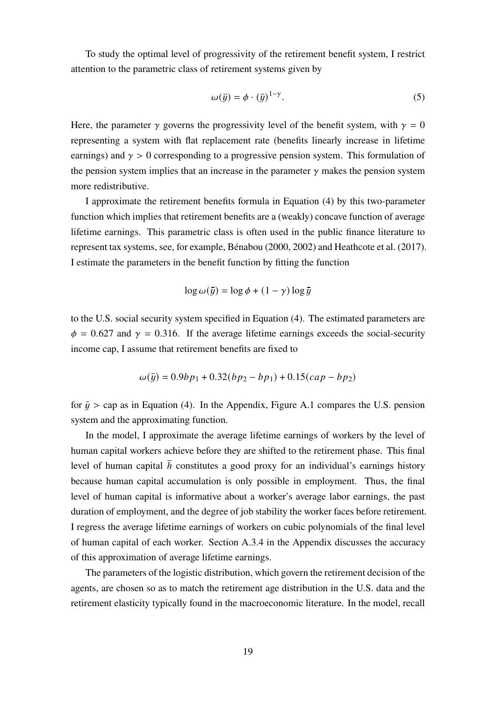To study the optimal level of progressivity of the retirement benefit system, I restrict attention to the parametric class of retirement systems given by

$$
\omega(\bar{y}) = \phi \cdot (\bar{y})^{1-\gamma}.
$$
 (5)

Here, the parameter  $\gamma$  governs the progressivity level of the benefit system, with  $\gamma = 0$ representing a system with flat replacement rate (benefits linearly increase in lifetime earnings) and  $\gamma > 0$  corresponding to a progressive pension system. This formulation of the pension system implies that an increase in the parameter  $\gamma$  makes the pension system more redistributive.

I approximate the retirement benefits formula in Equation [\(4\)](#page-18-0) by this two-parameter function which implies that retirement benefits are a (weakly) concave function of average lifetime earnings. This parametric class is often used in the public finance literature to represent tax systems, see, for example, Bénabou (2000, 2002) and [Heathcote et al. \(2017\)](#page-45-10). I estimate the parameters in the benefit function by fitting the function

$$
\log \omega(\bar{y}) = \log \phi + (1 - \gamma) \log \bar{y}
$$

to the U.S. social security system specified in Equation [\(4\)](#page-18-0). The estimated parameters are  $\phi = 0.627$  and  $\gamma = 0.316$ . If the average lifetime earnings exceeds the social-security income cap, I assume that retirement benefits are fixed to

$$
\omega(\bar{y}) = 0.9bp_1 + 0.32(bp_2 - bp_1) + 0.15(cap - bp_2)
$$

for  $\bar{y}$  > cap as in Equation [\(4\)](#page-18-0). In the [Appendix,](#page-47-1) Figure [A.1](#page-50-0) compares the U.S. pension system and the approximating function.

In the model, I approximate the average lifetime earnings of workers by the level of human capital workers achieve before they are shifted to the retirement phase. This final level of human capital  $h$  constitutes a good proxy for an individual's earnings history because human capital accumulation is only possible in employment. Thus, the final level of human capital is informative about a worker's average labor earnings, the past duration of employment, and the degree of job stability the worker faces before retirement. I regress the average lifetime earnings of workers on cubic polynomials of the final level of human capital of each worker. Section [A.3.4](#page-51-0) in the [Appendix](#page-47-1) discusses the accuracy of this approximation of average lifetime earnings.

The parameters of the logistic distribution, which govern the retirement decision of the agents, are chosen so as to match the retirement age distribution in the U.S. data and the retirement elasticity typically found in the macroeconomic literature. In the model, recall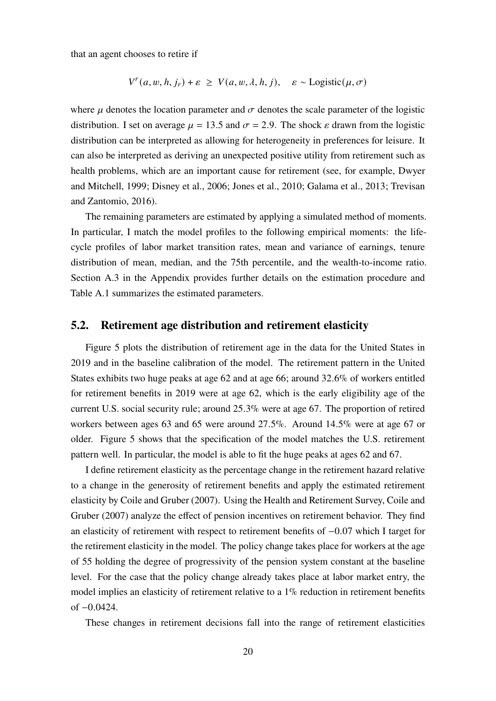that an agent chooses to retire if

$$
V^{r}(a, w, h, j_{r}) + \varepsilon \ge V(a, w, \lambda, h, j), \quad \varepsilon \sim \text{Logistic}(\mu, \sigma)
$$

where  $\mu$  denotes the location parameter and  $\sigma$  denotes the scale parameter of the logistic distribution. I set on average  $\mu = 13.5$  and  $\sigma = 2.9$ . The shock  $\varepsilon$  drawn from the logistic distribution can be interpreted as allowing for heterogeneity in preferences for leisure. It can also be interpreted as deriving an unexpected positive utility from retirement such as health problems, which are an important cause for retirement (see, for example, Dwyer and Mitchell, [1999;](#page-44-6) Disney et al., [2006;](#page-44-7) Jones et al., [2010;](#page-45-11) Galama et al., [2013;](#page-44-8) Trevisan and Zantomio, [2016\)](#page-46-6).

The remaining parameters are estimated by applying a simulated method of moments. In particular, I match the model profiles to the following empirical moments: the lifecycle profiles of labor market transition rates, mean and variance of earnings, tenure distribution of mean, median, and the 75th percentile, and the wealth-to-income ratio. Section [A.3](#page-48-1) in the [Appendix](#page-47-1) provides further details on the estimation procedure and Table [A.1](#page-50-1) summarizes the estimated parameters.

## **5.2. Retirement age distribution and retirement elasticity**

Figure [5](#page-21-1) plots the distribution of retirement age in the data for the United States in 2019 and in the baseline calibration of the model. The retirement pattern in the United States exhibits two huge peaks at age 62 and at age 66; around 32.6% of workers entitled for retirement benefits in 2019 were at age 62, which is the early eligibility age of the current U.S. social security rule; around 25.3% were at age 67. The proportion of retired workers between ages 63 and 65 were around 27.5%. Around 14.5% were at age 67 or older. Figure [5](#page-21-1) shows that the specification of the model matches the U.S. retirement pattern well. In particular, the model is able to fit the huge peaks at ages 62 and 67.

I define retirement elasticity as the percentage change in the retirement hazard relative to a change in the generosity of retirement benefits and apply the estimated retirement elasticity by [Coile and Gruber \(2007\)](#page-44-9). Using the Health and Retirement Survey, [Coile and](#page-44-9) [Gruber \(2007\)](#page-44-9) analyze the effect of pension incentives on retirement behavior. They find an elasticity of retirement with respect to retirement benefits of −0.07 which I target for the retirement elasticity in the model. The policy change takes place for workers at the age of 55 holding the degree of progressivity of the pension system constant at the baseline level. For the case that the policy change already takes place at labor market entry, the model implies an elasticity of retirement relative to a 1% reduction in retirement benefits of −0.0424.

These changes in retirement decisions fall into the range of retirement elasticities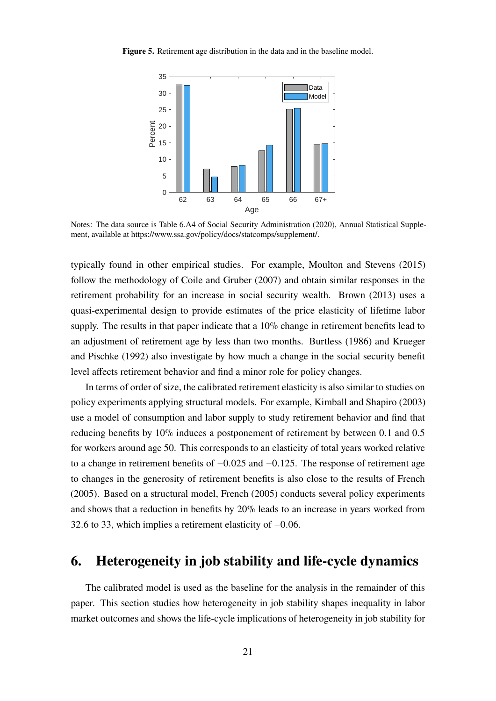<span id="page-21-1"></span>**Figure 5.** Retirement age distribution in the data and in the baseline model.



Notes: The data source is Table 6.A4 of Social Security Administration (2020), Annual Statistical Supplement, available at [https://www.ssa.gov/policy/docs/statcomps/supplement/.](https://www.ssa.gov/policy/docs/statcomps/supplement/)

typically found in other empirical studies. For example, [Moulton and Stevens \(2015\)](#page-46-7) follow the methodology of [Coile and Gruber \(2007\)](#page-44-9) and obtain similar responses in the retirement probability for an increase in social security wealth. [Brown \(2013\)](#page-43-6) uses a quasi-experimental design to provide estimates of the price elasticity of lifetime labor supply. The results in that paper indicate that a 10% change in retirement benefits lead to an adjustment of retirement age by less than two months. [Burtless \(1986\)](#page-43-7) and [Krueger](#page-45-7) [and Pischke \(1992\)](#page-45-7) also investigate by how much a change in the social security benefit level affects retirement behavior and find a minor role for policy changes.

In terms of order of size, the calibrated retirement elasticity is also similar to studies on policy experiments applying structural models. For example, [Kimball and Shapiro \(2003\)](#page-45-12) use a model of consumption and labor supply to study retirement behavior and find that reducing benefits by 10% induces a postponement of retirement by between 0.1 and 0.5 for workers around age 50. This corresponds to an elasticity of total years worked relative to a change in retirement benefits of −0.025 and −0.125. The response of retirement age to changes in the generosity of retirement benefits is also close to the results of [French](#page-44-10) [\(2005\)](#page-44-10). Based on a structural model, [French \(2005\)](#page-44-10) conducts several policy experiments and shows that a reduction in benefits by 20% leads to an increase in years worked from 32.6 to 33, which implies a retirement elasticity of −0.06.

# <span id="page-21-0"></span>**6. Heterogeneity in job stability and life-cycle dynamics**

The calibrated model is used as the baseline for the analysis in the remainder of this paper. This section studies how heterogeneity in job stability shapes inequality in labor market outcomes and shows the life-cycle implications of heterogeneity in job stability for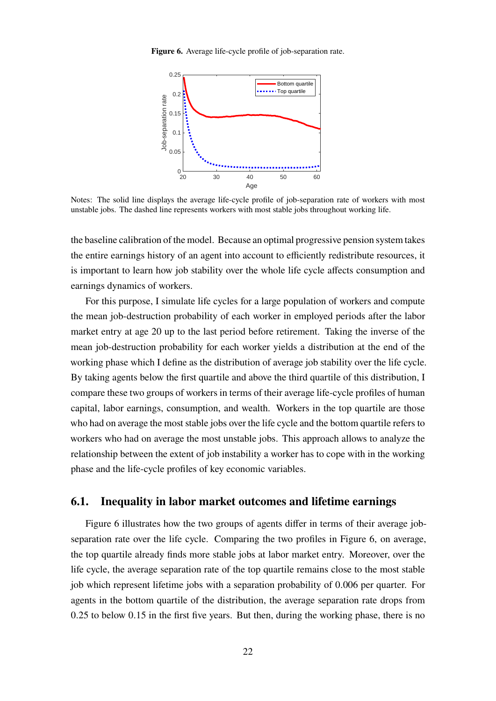<span id="page-22-0"></span>**Figure 6.** Average life-cycle profile of job-separation rate.



Notes: The solid line displays the average life-cycle profile of job-separation rate of workers with most unstable jobs. The dashed line represents workers with most stable jobs throughout working life.

the baseline calibration of the model. Because an optimal progressive pension system takes the entire earnings history of an agent into account to efficiently redistribute resources, it is important to learn how job stability over the whole life cycle affects consumption and earnings dynamics of workers.

For this purpose, I simulate life cycles for a large population of workers and compute the mean job-destruction probability of each worker in employed periods after the labor market entry at age 20 up to the last period before retirement. Taking the inverse of the mean job-destruction probability for each worker yields a distribution at the end of the working phase which I define as the distribution of average job stability over the life cycle. By taking agents below the first quartile and above the third quartile of this distribution, I compare these two groups of workers in terms of their average life-cycle profiles of human capital, labor earnings, consumption, and wealth. Workers in the top quartile are those who had on average the most stable jobs over the life cycle and the bottom quartile refers to workers who had on average the most unstable jobs. This approach allows to analyze the relationship between the extent of job instability a worker has to cope with in the working phase and the life-cycle profiles of key economic variables.

#### **6.1. Inequality in labor market outcomes and lifetime earnings**

Figure [6](#page-22-0) illustrates how the two groups of agents differ in terms of their average jobseparation rate over the life cycle. Comparing the two profiles in Figure [6,](#page-22-0) on average, the top quartile already finds more stable jobs at labor market entry. Moreover, over the life cycle, the average separation rate of the top quartile remains close to the most stable job which represent lifetime jobs with a separation probability of 0.006 per quarter. For agents in the bottom quartile of the distribution, the average separation rate drops from 0.25 to below 0.15 in the first five years. But then, during the working phase, there is no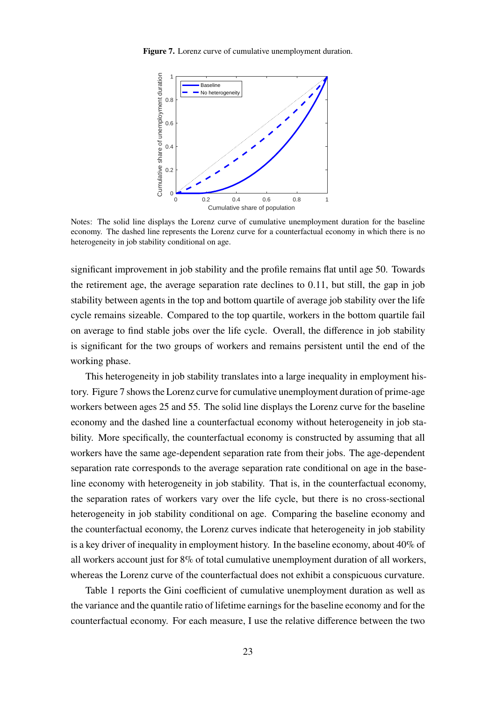<span id="page-23-0"></span>**Figure 7.** Lorenz curve of cumulative unemployment duration.



Notes: The solid line displays the Lorenz curve of cumulative unemployment duration for the baseline economy. The dashed line represents the Lorenz curve for a counterfactual economy in which there is no heterogeneity in job stability conditional on age.

significant improvement in job stability and the profile remains flat until age 50. Towards the retirement age, the average separation rate declines to 0.11, but still, the gap in job stability between agents in the top and bottom quartile of average job stability over the life cycle remains sizeable. Compared to the top quartile, workers in the bottom quartile fail on average to find stable jobs over the life cycle. Overall, the difference in job stability is significant for the two groups of workers and remains persistent until the end of the working phase.

This heterogeneity in job stability translates into a large inequality in employment history. Figure [7](#page-23-0) shows the Lorenz curve for cumulative unemployment duration of prime-age workers between ages 25 and 55. The solid line displays the Lorenz curve for the baseline economy and the dashed line a counterfactual economy without heterogeneity in job stability. More specifically, the counterfactual economy is constructed by assuming that all workers have the same age-dependent separation rate from their jobs. The age-dependent separation rate corresponds to the average separation rate conditional on age in the baseline economy with heterogeneity in job stability. That is, in the counterfactual economy, the separation rates of workers vary over the life cycle, but there is no cross-sectional heterogeneity in job stability conditional on age. Comparing the baseline economy and the counterfactual economy, the Lorenz curves indicate that heterogeneity in job stability is a key driver of inequality in employment history. In the baseline economy, about 40% of all workers account just for 8% of total cumulative unemployment duration of all workers, whereas the Lorenz curve of the counterfactual does not exhibit a conspicuous curvature.

Table [1](#page-24-0) reports the Gini coefficient of cumulative unemployment duration as well as the variance and the quantile ratio of lifetime earnings for the baseline economy and for the counterfactual economy. For each measure, I use the relative difference between the two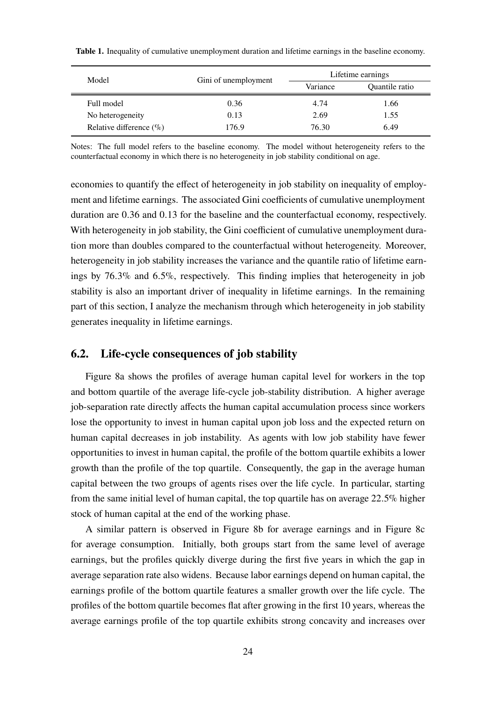| Model                       | Gini of unemployment | Lifetime earnings |                |  |
|-----------------------------|----------------------|-------------------|----------------|--|
|                             |                      | Variance          | Quantile ratio |  |
| Full model                  | 0.36                 | 4.74              | 1.66           |  |
| No heterogeneity            | 0.13                 | 2.69              | 1.55           |  |
| Relative difference $(\% )$ | 176.9                | 76.30             | 6.49           |  |

<span id="page-24-0"></span>**Table 1.** Inequality of cumulative unemployment duration and lifetime earnings in the baseline economy.

Notes: The full model refers to the baseline economy. The model without heterogeneity refers to the counterfactual economy in which there is no heterogeneity in job stability conditional on age.

economies to quantify the effect of heterogeneity in job stability on inequality of employment and lifetime earnings. The associated Gini coefficients of cumulative unemployment duration are 0.36 and 0.13 for the baseline and the counterfactual economy, respectively. With heterogeneity in job stability, the Gini coefficient of cumulative unemployment duration more than doubles compared to the counterfactual without heterogeneity. Moreover, heterogeneity in job stability increases the variance and the quantile ratio of lifetime earnings by 76.3% and 6.5%, respectively. This finding implies that heterogeneity in job stability is also an important driver of inequality in lifetime earnings. In the remaining part of this section, I analyze the mechanism through which heterogeneity in job stability generates inequality in lifetime earnings.

## **6.2. Life-cycle consequences of job stability**

Figure [8a](#page-25-0) shows the profiles of average human capital level for workers in the top and bottom quartile of the average life-cycle job-stability distribution. A higher average job-separation rate directly affects the human capital accumulation process since workers lose the opportunity to invest in human capital upon job loss and the expected return on human capital decreases in job instability. As agents with low job stability have fewer opportunities to invest in human capital, the profile of the bottom quartile exhibits a lower growth than the profile of the top quartile. Consequently, the gap in the average human capital between the two groups of agents rises over the life cycle. In particular, starting from the same initial level of human capital, the top quartile has on average 22.5% higher stock of human capital at the end of the working phase.

A similar pattern is observed in Figure [8b](#page-25-0) for average earnings and in Figure [8c](#page-25-0) for average consumption. Initially, both groups start from the same level of average earnings, but the profiles quickly diverge during the first five years in which the gap in average separation rate also widens. Because labor earnings depend on human capital, the earnings profile of the bottom quartile features a smaller growth over the life cycle. The profiles of the bottom quartile becomes flat after growing in the first 10 years, whereas the average earnings profile of the top quartile exhibits strong concavity and increases over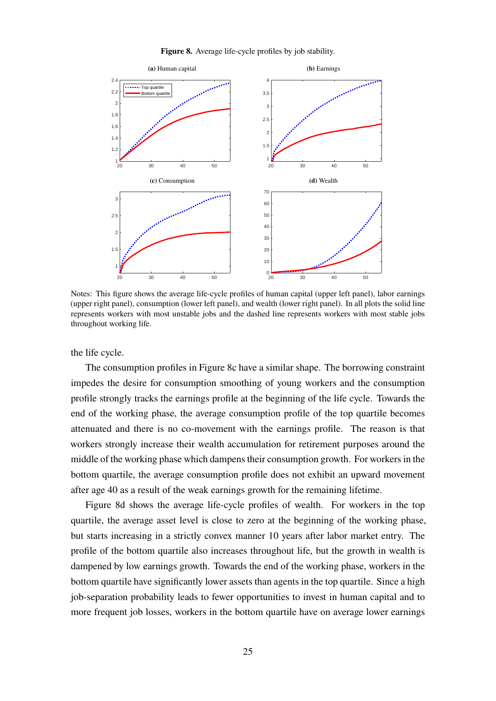<span id="page-25-0"></span>

**Figure 8.** Average life-cycle profiles by job stability.

Notes: This figure shows the average life-cycle profiles of human capital (upper left panel), labor earnings (upper right panel), consumption (lower left panel), and wealth (lower right panel). In all plots the solid line represents workers with most unstable jobs and the dashed line represents workers with most stable jobs throughout working life.

the life cycle.

The consumption profiles in Figure [8c](#page-25-0) have a similar shape. The borrowing constraint impedes the desire for consumption smoothing of young workers and the consumption profile strongly tracks the earnings profile at the beginning of the life cycle. Towards the end of the working phase, the average consumption profile of the top quartile becomes attenuated and there is no co-movement with the earnings profile. The reason is that workers strongly increase their wealth accumulation for retirement purposes around the middle of the working phase which dampens their consumption growth. For workers in the bottom quartile, the average consumption profile does not exhibit an upward movement after age 40 as a result of the weak earnings growth for the remaining lifetime.

Figure [8d](#page-25-0) shows the average life-cycle profiles of wealth. For workers in the top quartile, the average asset level is close to zero at the beginning of the working phase, but starts increasing in a strictly convex manner 10 years after labor market entry. The profile of the bottom quartile also increases throughout life, but the growth in wealth is dampened by low earnings growth. Towards the end of the working phase, workers in the bottom quartile have significantly lower assets than agents in the top quartile. Since a high job-separation probability leads to fewer opportunities to invest in human capital and to more frequent job losses, workers in the bottom quartile have on average lower earnings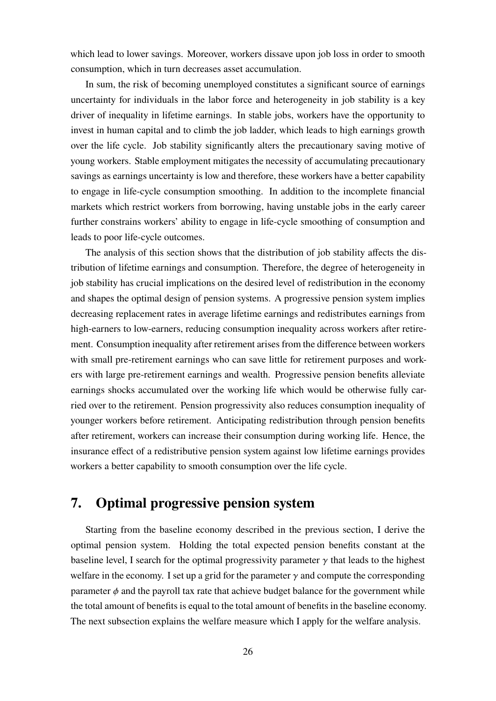which lead to lower savings. Moreover, workers dissave upon job loss in order to smooth consumption, which in turn decreases asset accumulation.

In sum, the risk of becoming unemployed constitutes a significant source of earnings uncertainty for individuals in the labor force and heterogeneity in job stability is a key driver of inequality in lifetime earnings. In stable jobs, workers have the opportunity to invest in human capital and to climb the job ladder, which leads to high earnings growth over the life cycle. Job stability significantly alters the precautionary saving motive of young workers. Stable employment mitigates the necessity of accumulating precautionary savings as earnings uncertainty is low and therefore, these workers have a better capability to engage in life-cycle consumption smoothing. In addition to the incomplete financial markets which restrict workers from borrowing, having unstable jobs in the early career further constrains workers' ability to engage in life-cycle smoothing of consumption and leads to poor life-cycle outcomes.

The analysis of this section shows that the distribution of job stability affects the distribution of lifetime earnings and consumption. Therefore, the degree of heterogeneity in job stability has crucial implications on the desired level of redistribution in the economy and shapes the optimal design of pension systems. A progressive pension system implies decreasing replacement rates in average lifetime earnings and redistributes earnings from high-earners to low-earners, reducing consumption inequality across workers after retirement. Consumption inequality after retirement arises from the difference between workers with small pre-retirement earnings who can save little for retirement purposes and workers with large pre-retirement earnings and wealth. Progressive pension benefits alleviate earnings shocks accumulated over the working life which would be otherwise fully carried over to the retirement. Pension progressivity also reduces consumption inequality of younger workers before retirement. Anticipating redistribution through pension benefits after retirement, workers can increase their consumption during working life. Hence, the insurance effect of a redistributive pension system against low lifetime earnings provides workers a better capability to smooth consumption over the life cycle.

# <span id="page-26-0"></span>**7. Optimal progressive pension system**

Starting from the baseline economy described in the previous section, I derive the optimal pension system. Holding the total expected pension benefits constant at the baseline level, I search for the optimal progressivity parameter  $\gamma$  that leads to the highest welfare in the economy. I set up a grid for the parameter  $\gamma$  and compute the corresponding parameter  $\phi$  and the payroll tax rate that achieve budget balance for the government while the total amount of benefits is equal to the total amount of benefits in the baseline economy. The next subsection explains the welfare measure which I apply for the welfare analysis.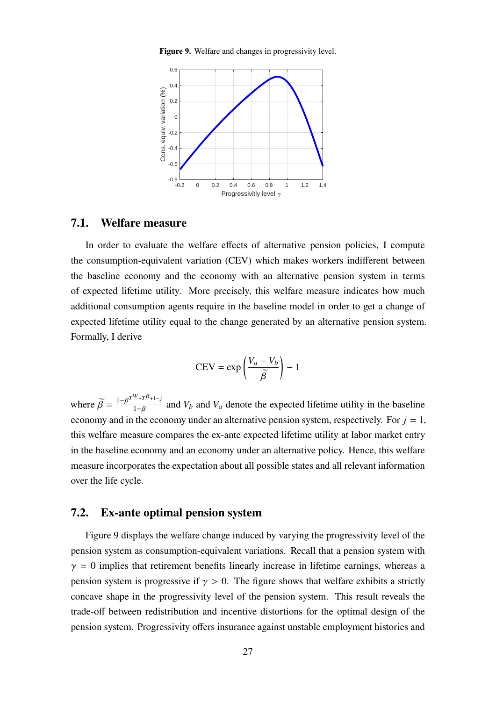**Figure 9.** Welfare and changes in progressivity level.

<span id="page-27-0"></span>

#### **7.1. Welfare measure**

In order to evaluate the welfare effects of alternative pension policies, I compute the consumption-equivalent variation (CEV) which makes workers indifferent between the baseline economy and the economy with an alternative pension system in terms of expected lifetime utility. More precisely, this welfare measure indicates how much additional consumption agents require in the baseline model in order to get a change of expected lifetime utility equal to the change generated by an alternative pension system. Formally, I derive

$$
CEV = \exp\left(\frac{V_a - V_b}{\widetilde{\beta}}\right) - 1
$$

where  $\widetilde{\beta} = \frac{1 - \beta^{T^{W} + T^{R} + 1 - j}}{1 - \beta}$  $\frac{1-P_{1}-P_{1}-P_{2}}{1-\beta}$  and  $V_{b}$  and  $V_{a}$  denote the expected lifetime utility in the baseline economy and in the economy under an alternative pension system, respectively. For  $j = 1$ , this welfare measure compares the ex-ante expected lifetime utility at labor market entry in the baseline economy and an economy under an alternative policy. Hence, this welfare measure incorporates the expectation about all possible states and all relevant information over the life cycle.

#### **7.2. Ex-ante optimal pension system**

Figure [9](#page-27-0) displays the welfare change induced by varying the progressivity level of the pension system as consumption-equivalent variations. Recall that a pension system with  $\gamma = 0$  implies that retirement benefits linearly increase in lifetime earnings, whereas a pension system is progressive if  $\gamma > 0$ . The figure shows that welfare exhibits a strictly concave shape in the progressivity level of the pension system. This result reveals the trade-off between redistribution and incentive distortions for the optimal design of the pension system. Progressivity offers insurance against unstable employment histories and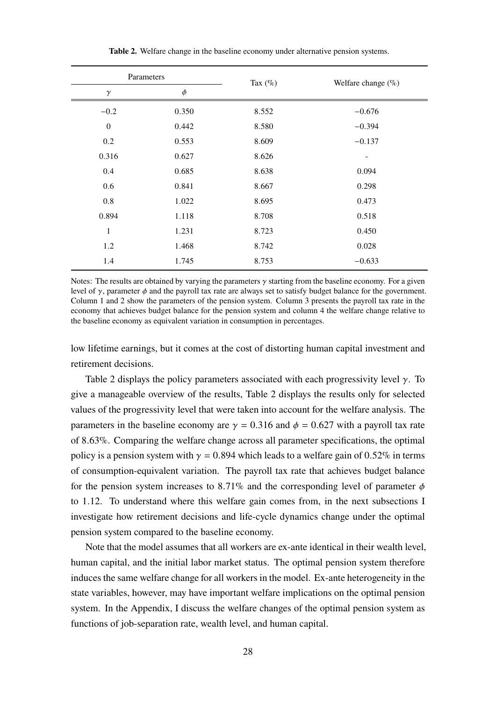<span id="page-28-0"></span>

| Parameters       |        | Tax $(\%)$ | Welfare change $(\%)$ |  |
|------------------|--------|------------|-----------------------|--|
| $\gamma$         | $\phi$ |            |                       |  |
| $-0.2$           | 0.350  | 8.552      | $-0.676$              |  |
| $\boldsymbol{0}$ | 0.442  | 8.580      | $-0.394$              |  |
| 0.2              | 0.553  | 8.609      | $-0.137$              |  |
| 0.316            | 0.627  | 8.626      |                       |  |
| 0.4              | 0.685  | 8.638      | 0.094                 |  |
| 0.6              | 0.841  | 8.667      | 0.298                 |  |
| $0.8\,$          | 1.022  | 8.695      | 0.473                 |  |
| 0.894            | 1.118  | 8.708      | 0.518                 |  |
| 1                | 1.231  | 8.723      | 0.450                 |  |
| 1.2              | 1.468  | 8.742      | 0.028                 |  |
| 1.4              | 1.745  | 8.753      | $-0.633$              |  |

**Table 2.** Welfare change in the baseline economy under alternative pension systems.

Notes: The results are obtained by varying the parameters  $\gamma$  starting from the baseline economy. For a given level of  $\gamma$ , parameter  $\phi$  and the payroll tax rate are always set to satisfy budget balance for the government. Column 1 and 2 show the parameters of the pension system. Column 3 presents the payroll tax rate in the economy that achieves budget balance for the pension system and column 4 the welfare change relative to the baseline economy as equivalent variation in consumption in percentages.

low lifetime earnings, but it comes at the cost of distorting human capital investment and retirement decisions.

Table [2](#page-28-0) displays the policy parameters associated with each progressivity level  $\gamma$ . To give a manageable overview of the results, Table [2](#page-28-0) displays the results only for selected values of the progressivity level that were taken into account for the welfare analysis. The parameters in the baseline economy are  $\gamma = 0.316$  and  $\phi = 0.627$  with a payroll tax rate of 8.63%. Comparing the welfare change across all parameter specifications, the optimal policy is a pension system with  $\gamma = 0.894$  which leads to a welfare gain of 0.52% in terms of consumption-equivalent variation. The payroll tax rate that achieves budget balance for the pension system increases to 8.71% and the corresponding level of parameter  $\phi$ to 1.12. To understand where this welfare gain comes from, in the next subsections I investigate how retirement decisions and life-cycle dynamics change under the optimal pension system compared to the baseline economy.

Note that the model assumes that all workers are ex-ante identical in their wealth level, human capital, and the initial labor market status. The optimal pension system therefore induces the same welfare change for all workers in the model. Ex-ante heterogeneity in the state variables, however, may have important welfare implications on the optimal pension system. In the [Appendix,](#page-47-1) I discuss the welfare changes of the optimal pension system as functions of job-separation rate, wealth level, and human capital.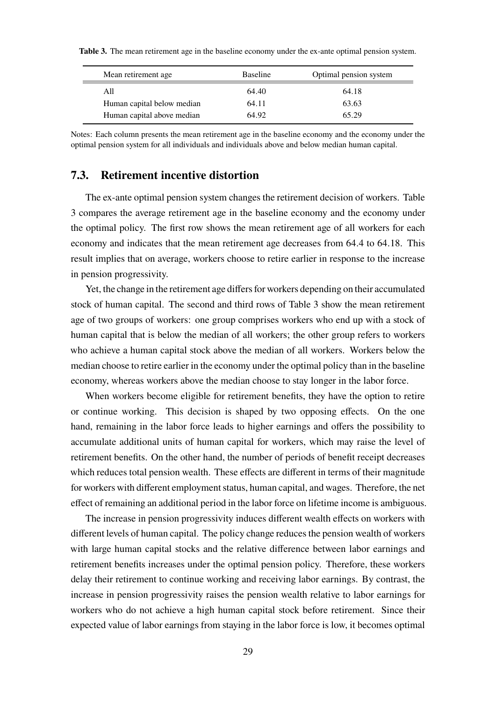| Mean retirement age.       | <b>Baseline</b> | Optimal pension system |
|----------------------------|-----------------|------------------------|
| All                        | 64.40           | 64.18                  |
| Human capital below median | 64.11           | 63.63                  |
| Human capital above median | 64.92           | 65.29                  |

<span id="page-29-0"></span>**Table 3.** The mean retirement age in the baseline economy under the ex-ante optimal pension system.

Notes: Each column presents the mean retirement age in the baseline economy and the economy under the optimal pension system for all individuals and individuals above and below median human capital.

# **7.3. Retirement incentive distortion**

The ex-ante optimal pension system changes the retirement decision of workers. Table [3](#page-29-0) compares the average retirement age in the baseline economy and the economy under the optimal policy. The first row shows the mean retirement age of all workers for each economy and indicates that the mean retirement age decreases from 64.4 to 64.18. This result implies that on average, workers choose to retire earlier in response to the increase in pension progressivity.

Yet, the change in the retirement age differs for workers depending on their accumulated stock of human capital. The second and third rows of Table [3](#page-29-0) show the mean retirement age of two groups of workers: one group comprises workers who end up with a stock of human capital that is below the median of all workers; the other group refers to workers who achieve a human capital stock above the median of all workers. Workers below the median choose to retire earlier in the economy under the optimal policy than in the baseline economy, whereas workers above the median choose to stay longer in the labor force.

When workers become eligible for retirement benefits, they have the option to retire or continue working. This decision is shaped by two opposing effects. On the one hand, remaining in the labor force leads to higher earnings and offers the possibility to accumulate additional units of human capital for workers, which may raise the level of retirement benefits. On the other hand, the number of periods of benefit receipt decreases which reduces total pension wealth. These effects are different in terms of their magnitude for workers with different employment status, human capital, and wages. Therefore, the net effect of remaining an additional period in the labor force on lifetime income is ambiguous.

The increase in pension progressivity induces different wealth effects on workers with different levels of human capital. The policy change reduces the pension wealth of workers with large human capital stocks and the relative difference between labor earnings and retirement benefits increases under the optimal pension policy. Therefore, these workers delay their retirement to continue working and receiving labor earnings. By contrast, the increase in pension progressivity raises the pension wealth relative to labor earnings for workers who do not achieve a high human capital stock before retirement. Since their expected value of labor earnings from staying in the labor force is low, it becomes optimal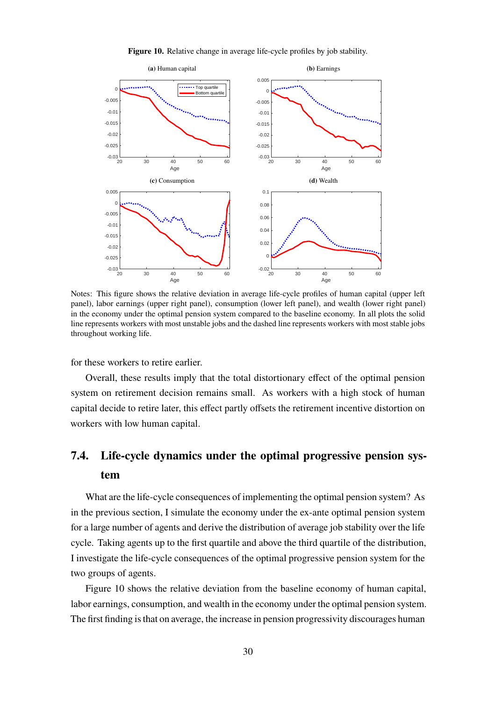<span id="page-30-0"></span>

**Figure 10.** Relative change in average life-cycle profiles by job stability.

Notes: This figure shows the relative deviation in average life-cycle profiles of human capital (upper left panel), labor earnings (upper right panel), consumption (lower left panel), and wealth (lower right panel) in the economy under the optimal pension system compared to the baseline economy. In all plots the solid line represents workers with most unstable jobs and the dashed line represents workers with most stable jobs throughout working life.

for these workers to retire earlier.

Overall, these results imply that the total distortionary effect of the optimal pension system on retirement decision remains small. As workers with a high stock of human capital decide to retire later, this effect partly offsets the retirement incentive distortion on workers with low human capital.

# **7.4. Life-cycle dynamics under the optimal progressive pension system**

What are the life-cycle consequences of implementing the optimal pension system? As in the previous section, I simulate the economy under the ex-ante optimal pension system for a large number of agents and derive the distribution of average job stability over the life cycle. Taking agents up to the first quartile and above the third quartile of the distribution, I investigate the life-cycle consequences of the optimal progressive pension system for the two groups of agents.

Figure [10](#page-30-0) shows the relative deviation from the baseline economy of human capital, labor earnings, consumption, and wealth in the economy under the optimal pension system. The first finding is that on average, the increase in pension progressivity discourages human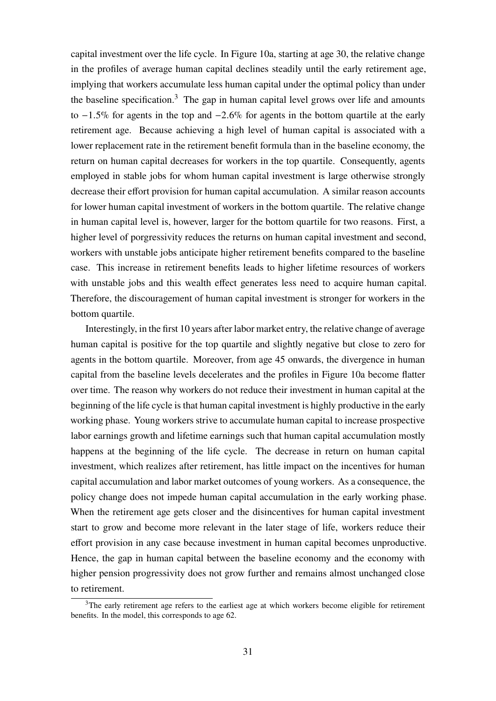capital investment over the life cycle. In Figure [10a,](#page-30-0) starting at age 30, the relative change in the profiles of average human capital declines steadily until the early retirement age, implying that workers accumulate less human capital under the optimal policy than under the baseline specification.<sup>[3](#page-0-0)</sup> The gap in human capital level grows over life and amounts to −1.5% for agents in the top and −2.6% for agents in the bottom quartile at the early retirement age. Because achieving a high level of human capital is associated with a lower replacement rate in the retirement benefit formula than in the baseline economy, the return on human capital decreases for workers in the top quartile. Consequently, agents employed in stable jobs for whom human capital investment is large otherwise strongly decrease their effort provision for human capital accumulation. A similar reason accounts for lower human capital investment of workers in the bottom quartile. The relative change in human capital level is, however, larger for the bottom quartile for two reasons. First, a higher level of porgressivity reduces the returns on human capital investment and second, workers with unstable jobs anticipate higher retirement benefits compared to the baseline case. This increase in retirement benefits leads to higher lifetime resources of workers with unstable jobs and this wealth effect generates less need to acquire human capital. Therefore, the discouragement of human capital investment is stronger for workers in the bottom quartile.

Interestingly, in the first 10 years after labor market entry, the relative change of average human capital is positive for the top quartile and slightly negative but close to zero for agents in the bottom quartile. Moreover, from age 45 onwards, the divergence in human capital from the baseline levels decelerates and the profiles in Figure [10a](#page-30-0) become flatter over time. The reason why workers do not reduce their investment in human capital at the beginning of the life cycle is that human capital investment is highly productive in the early working phase. Young workers strive to accumulate human capital to increase prospective labor earnings growth and lifetime earnings such that human capital accumulation mostly happens at the beginning of the life cycle. The decrease in return on human capital investment, which realizes after retirement, has little impact on the incentives for human capital accumulation and labor market outcomes of young workers. As a consequence, the policy change does not impede human capital accumulation in the early working phase. When the retirement age gets closer and the disincentives for human capital investment start to grow and become more relevant in the later stage of life, workers reduce their effort provision in any case because investment in human capital becomes unproductive. Hence, the gap in human capital between the baseline economy and the economy with higher pension progressivity does not grow further and remains almost unchanged close to retirement.

 $3$ The early retirement age refers to the earliest age at which workers become eligible for retirement benefits. In the model, this corresponds to age 62.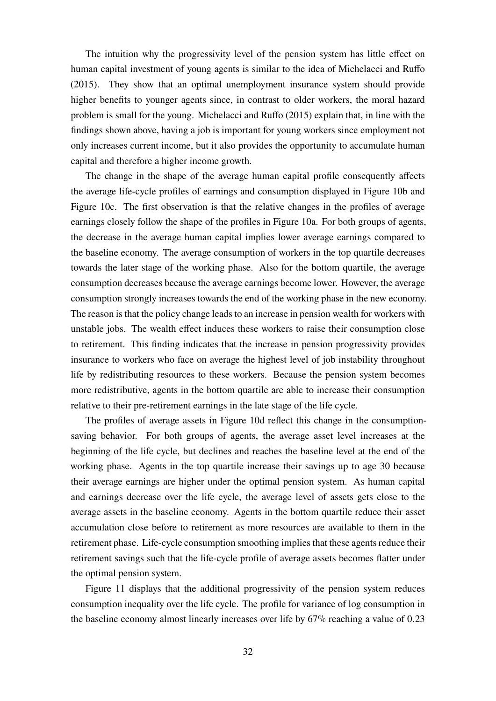The intuition why the progressivity level of the pension system has little effect on human capital investment of young agents is similar to the idea of [Michelacci and Ruffo](#page-46-1) [\(2015\)](#page-46-1). They show that an optimal unemployment insurance system should provide higher benefits to younger agents since, in contrast to older workers, the moral hazard problem is small for the young. [Michelacci and Ruffo \(2015\)](#page-46-1) explain that, in line with the findings shown above, having a job is important for young workers since employment not only increases current income, but it also provides the opportunity to accumulate human capital and therefore a higher income growth.

The change in the shape of the average human capital profile consequently affects the average life-cycle profiles of earnings and consumption displayed in Figure [10b](#page-30-0) and Figure [10c.](#page-30-0) The first observation is that the relative changes in the profiles of average earnings closely follow the shape of the profiles in Figure [10a.](#page-30-0) For both groups of agents, the decrease in the average human capital implies lower average earnings compared to the baseline economy. The average consumption of workers in the top quartile decreases towards the later stage of the working phase. Also for the bottom quartile, the average consumption decreases because the average earnings become lower. However, the average consumption strongly increases towards the end of the working phase in the new economy. The reason is that the policy change leads to an increase in pension wealth for workers with unstable jobs. The wealth effect induces these workers to raise their consumption close to retirement. This finding indicates that the increase in pension progressivity provides insurance to workers who face on average the highest level of job instability throughout life by redistributing resources to these workers. Because the pension system becomes more redistributive, agents in the bottom quartile are able to increase their consumption relative to their pre-retirement earnings in the late stage of the life cycle.

The profiles of average assets in Figure [10d](#page-30-0) reflect this change in the consumptionsaving behavior. For both groups of agents, the average asset level increases at the beginning of the life cycle, but declines and reaches the baseline level at the end of the working phase. Agents in the top quartile increase their savings up to age 30 because their average earnings are higher under the optimal pension system. As human capital and earnings decrease over the life cycle, the average level of assets gets close to the average assets in the baseline economy. Agents in the bottom quartile reduce their asset accumulation close before to retirement as more resources are available to them in the retirement phase. Life-cycle consumption smoothing implies that these agents reduce their retirement savings such that the life-cycle profile of average assets becomes flatter under the optimal pension system.

Figure [11](#page-33-1) displays that the additional progressivity of the pension system reduces consumption inequality over the life cycle. The profile for variance of log consumption in the baseline economy almost linearly increases over life by 67% reaching a value of 0.23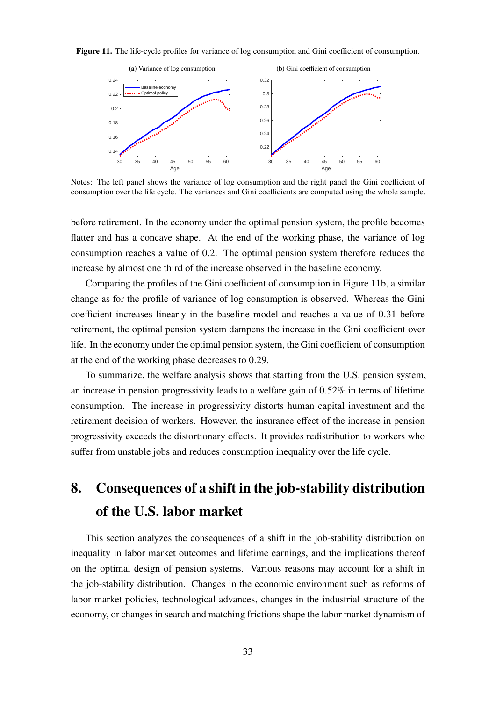<span id="page-33-1"></span>



Notes: The left panel shows the variance of log consumption and the right panel the Gini coefficient of consumption over the life cycle. The variances and Gini coefficients are computed using the whole sample.

before retirement. In the economy under the optimal pension system, the profile becomes flatter and has a concave shape. At the end of the working phase, the variance of log consumption reaches a value of 0.2. The optimal pension system therefore reduces the increase by almost one third of the increase observed in the baseline economy.

Comparing the profiles of the Gini coefficient of consumption in Figure [11b,](#page-33-1) a similar change as for the profile of variance of log consumption is observed. Whereas the Gini coefficient increases linearly in the baseline model and reaches a value of 0.31 before retirement, the optimal pension system dampens the increase in the Gini coefficient over life. In the economy under the optimal pension system, the Gini coefficient of consumption at the end of the working phase decreases to 0.29.

To summarize, the welfare analysis shows that starting from the U.S. pension system, an increase in pension progressivity leads to a welfare gain of 0.52% in terms of lifetime consumption. The increase in progressivity distorts human capital investment and the retirement decision of workers. However, the insurance effect of the increase in pension progressivity exceeds the distortionary effects. It provides redistribution to workers who suffer from unstable jobs and reduces consumption inequality over the life cycle.

# <span id="page-33-0"></span>**8. Consequences of a shift in the job-stability distribution of the U.S. labor market**

This section analyzes the consequences of a shift in the job-stability distribution on inequality in labor market outcomes and lifetime earnings, and the implications thereof on the optimal design of pension systems. Various reasons may account for a shift in the job-stability distribution. Changes in the economic environment such as reforms of labor market policies, technological advances, changes in the industrial structure of the economy, or changes in search and matching frictions shape the labor market dynamism of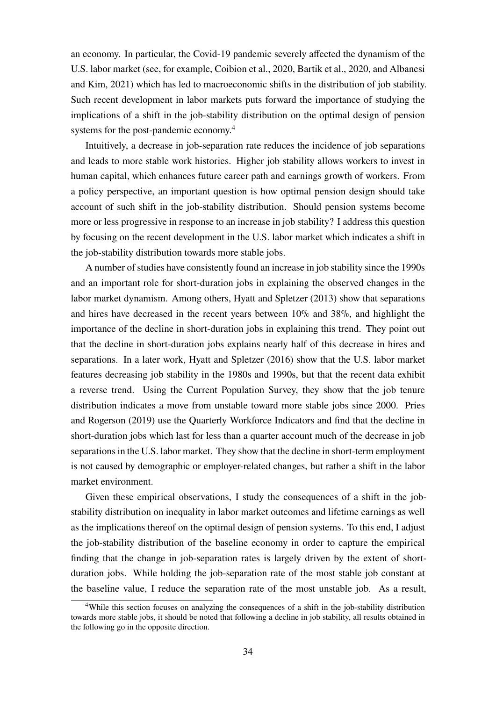an economy. In particular, the Covid-19 pandemic severely affected the dynamism of the U.S. labor market (see, for example, Coibion et al., [2020,](#page-44-11) Bartik et al., [2020,](#page-43-8) and Albanesi and Kim, [2021\)](#page-43-9) which has led to macroeconomic shifts in the distribution of job stability. Such recent development in labor markets puts forward the importance of studying the implications of a shift in the job-stability distribution on the optimal design of pension systems for the post-pandemic economy.<sup>[4](#page-0-0)</sup>

Intuitively, a decrease in job-separation rate reduces the incidence of job separations and leads to more stable work histories. Higher job stability allows workers to invest in human capital, which enhances future career path and earnings growth of workers. From a policy perspective, an important question is how optimal pension design should take account of such shift in the job-stability distribution. Should pension systems become more or less progressive in response to an increase in job stability? I address this question by focusing on the recent development in the U.S. labor market which indicates a shift in the job-stability distribution towards more stable jobs.

A number of studies have consistently found an increase in job stability since the 1990s and an important role for short-duration jobs in explaining the observed changes in the labor market dynamism. Among others, [Hyatt and Spletzer \(2013\)](#page-45-4) show that separations and hires have decreased in the recent years between 10% and 38%, and highlight the importance of the decline in short-duration jobs in explaining this trend. They point out that the decline in short-duration jobs explains nearly half of this decrease in hires and separations. In a later work, [Hyatt and Spletzer \(2016\)](#page-45-13) show that the U.S. labor market features decreasing job stability in the 1980s and 1990s, but that the recent data exhibit a reverse trend. Using the Current Population Survey, they show that the job tenure distribution indicates a move from unstable toward more stable jobs since 2000. [Pries](#page-46-2) [and Rogerson \(2019\)](#page-46-2) use the Quarterly Workforce Indicators and find that the decline in short-duration jobs which last for less than a quarter account much of the decrease in job separations in the U.S. labor market. They show that the decline in short-term employment is not caused by demographic or employer-related changes, but rather a shift in the labor market environment.

Given these empirical observations, I study the consequences of a shift in the jobstability distribution on inequality in labor market outcomes and lifetime earnings as well as the implications thereof on the optimal design of pension systems. To this end, I adjust the job-stability distribution of the baseline economy in order to capture the empirical finding that the change in job-separation rates is largely driven by the extent of shortduration jobs. While holding the job-separation rate of the most stable job constant at the baseline value, I reduce the separation rate of the most unstable job. As a result,

<sup>&</sup>lt;sup>4</sup>While this section focuses on analyzing the consequences of a shift in the job-stability distribution towards more stable jobs, it should be noted that following a decline in job stability, all results obtained in the following go in the opposite direction.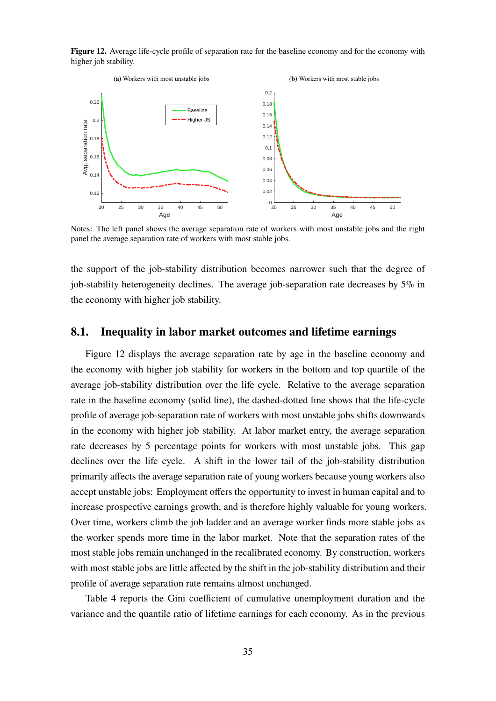<span id="page-35-0"></span>**Figure 12.** Average life-cycle profile of separation rate for the baseline economy and for the economy with higher job stability.



Notes: The left panel shows the average separation rate of workers with most unstable jobs and the right panel the average separation rate of workers with most stable jobs.

the support of the job-stability distribution becomes narrower such that the degree of job-stability heterogeneity declines. The average job-separation rate decreases by  $5\%$  in the economy with higher job stability.

#### <span id="page-35-1"></span>**8.1. Inequality in labor market outcomes and lifetime earnings**

Figure [12](#page-35-0) displays the average separation rate by age in the baseline economy and the economy with higher job stability for workers in the bottom and top quartile of the average job-stability distribution over the life cycle. Relative to the average separation rate in the baseline economy (solid line), the dashed-dotted line shows that the life-cycle profile of average job-separation rate of workers with most unstable jobs shifts downwards in the economy with higher job stability. At labor market entry, the average separation rate decreases by 5 percentage points for workers with most unstable jobs. This gap declines over the life cycle. A shift in the lower tail of the job-stability distribution primarily affects the average separation rate of young workers because young workers also accept unstable jobs: Employment offers the opportunity to invest in human capital and to increase prospective earnings growth, and is therefore highly valuable for young workers. Over time, workers climb the job ladder and an average worker finds more stable jobs as the worker spends more time in the labor market. Note that the separation rates of the most stable jobs remain unchanged in the recalibrated economy. By construction, workers with most stable jobs are little affected by the shift in the job-stability distribution and their profile of average separation rate remains almost unchanged.

Table [4](#page-36-0) reports the Gini coefficient of cumulative unemployment duration and the variance and the quantile ratio of lifetime earnings for each economy. As in the previous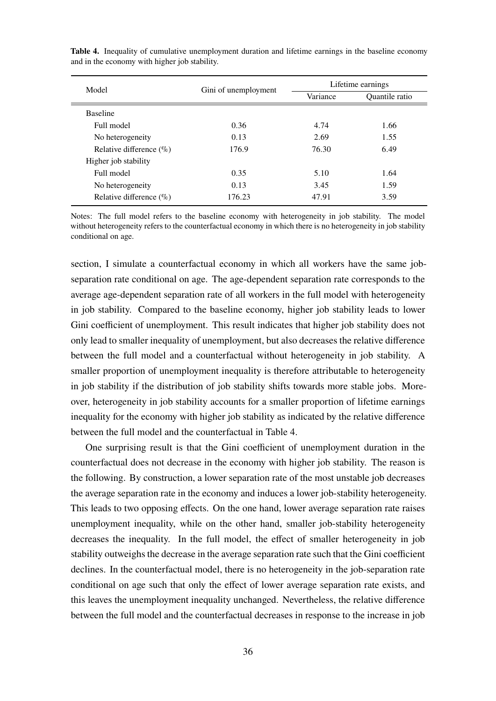| Model                       |                      | Lifetime earnings |                |  |
|-----------------------------|----------------------|-------------------|----------------|--|
|                             | Gini of unemployment | Variance          | Quantile ratio |  |
| <b>Baseline</b>             |                      |                   |                |  |
| Full model                  | 0.36                 | 4.74              | 1.66           |  |
| No heterogeneity            | 0.13                 | 2.69              | 1.55           |  |
| Relative difference $(\% )$ | 176.9                | 76.30             | 6.49           |  |
| Higher job stability        |                      |                   |                |  |
| Full model                  | 0.35                 | 5.10              | 1.64           |  |
| No heterogeneity            | 0.13                 | 3.45              | 1.59           |  |
| Relative difference $(\% )$ | 176.23               | 47.91             | 3.59           |  |

<span id="page-36-0"></span>**Table 4.** Inequality of cumulative unemployment duration and lifetime earnings in the baseline economy and in the economy with higher job stability.

Notes: The full model refers to the baseline economy with heterogeneity in job stability. The model without heterogeneity refers to the counterfactual economy in which there is no heterogeneity in job stability conditional on age.

section, I simulate a counterfactual economy in which all workers have the same jobseparation rate conditional on age. The age-dependent separation rate corresponds to the average age-dependent separation rate of all workers in the full model with heterogeneity in job stability. Compared to the baseline economy, higher job stability leads to lower Gini coefficient of unemployment. This result indicates that higher job stability does not only lead to smaller inequality of unemployment, but also decreases the relative difference between the full model and a counterfactual without heterogeneity in job stability. A smaller proportion of unemployment inequality is therefore attributable to heterogeneity in job stability if the distribution of job stability shifts towards more stable jobs. Moreover, heterogeneity in job stability accounts for a smaller proportion of lifetime earnings inequality for the economy with higher job stability as indicated by the relative difference between the full model and the counterfactual in Table [4.](#page-36-0)

One surprising result is that the Gini coefficient of unemployment duration in the counterfactual does not decrease in the economy with higher job stability. The reason is the following. By construction, a lower separation rate of the most unstable job decreases the average separation rate in the economy and induces a lower job-stability heterogeneity. This leads to two opposing effects. On the one hand, lower average separation rate raises unemployment inequality, while on the other hand, smaller job-stability heterogeneity decreases the inequality. In the full model, the effect of smaller heterogeneity in job stability outweighs the decrease in the average separation rate such that the Gini coefficient declines. In the counterfactual model, there is no heterogeneity in the job-separation rate conditional on age such that only the effect of lower average separation rate exists, and this leaves the unemployment inequality unchanged. Nevertheless, the relative difference between the full model and the counterfactual decreases in response to the increase in job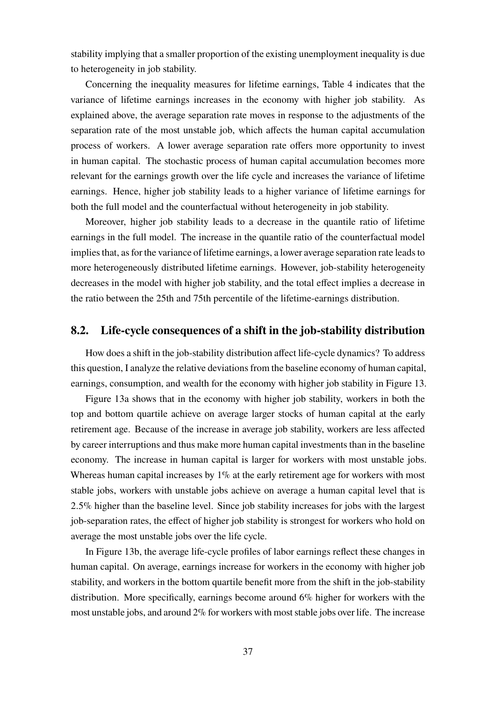stability implying that a smaller proportion of the existing unemployment inequality is due to heterogeneity in job stability.

Concerning the inequality measures for lifetime earnings, Table [4](#page-36-0) indicates that the variance of lifetime earnings increases in the economy with higher job stability. As explained above, the average separation rate moves in response to the adjustments of the separation rate of the most unstable job, which affects the human capital accumulation process of workers. A lower average separation rate offers more opportunity to invest in human capital. The stochastic process of human capital accumulation becomes more relevant for the earnings growth over the life cycle and increases the variance of lifetime earnings. Hence, higher job stability leads to a higher variance of lifetime earnings for both the full model and the counterfactual without heterogeneity in job stability.

Moreover, higher job stability leads to a decrease in the quantile ratio of lifetime earnings in the full model. The increase in the quantile ratio of the counterfactual model implies that, as for the variance of lifetime earnings, a lower average separation rate leads to more heterogeneously distributed lifetime earnings. However, job-stability heterogeneity decreases in the model with higher job stability, and the total effect implies a decrease in the ratio between the 25th and 75th percentile of the lifetime-earnings distribution.

#### <span id="page-37-0"></span>**8.2. Life-cycle consequences of a shift in the job-stability distribution**

How does a shift in the job-stability distribution affect life-cycle dynamics? To address this question, I analyze the relative deviations from the baseline economy of human capital, earnings, consumption, and wealth for the economy with higher job stability in Figure [13.](#page-38-0)

Figure [13a](#page-38-0) shows that in the economy with higher job stability, workers in both the top and bottom quartile achieve on average larger stocks of human capital at the early retirement age. Because of the increase in average job stability, workers are less affected by career interruptions and thus make more human capital investments than in the baseline economy. The increase in human capital is larger for workers with most unstable jobs. Whereas human capital increases by 1% at the early retirement age for workers with most stable jobs, workers with unstable jobs achieve on average a human capital level that is 2.5% higher than the baseline level. Since job stability increases for jobs with the largest job-separation rates, the effect of higher job stability is strongest for workers who hold on average the most unstable jobs over the life cycle.

In Figure [13b,](#page-38-0) the average life-cycle profiles of labor earnings reflect these changes in human capital. On average, earnings increase for workers in the economy with higher job stability, and workers in the bottom quartile benefit more from the shift in the job-stability distribution. More specifically, earnings become around 6% higher for workers with the most unstable jobs, and around  $2\%$  for workers with most stable jobs over life. The increase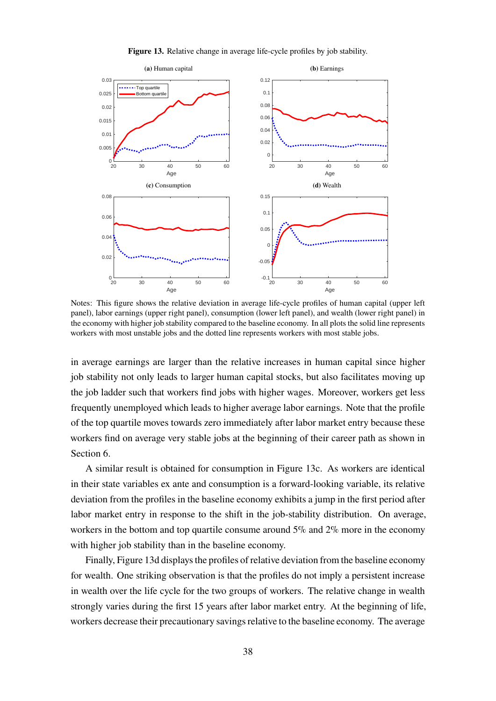

<span id="page-38-0"></span>

Notes: This figure shows the relative deviation in average life-cycle profiles of human capital (upper left panel), labor earnings (upper right panel), consumption (lower left panel), and wealth (lower right panel) in the economy with higher job stability compared to the baseline economy. In all plots the solid line represents workers with most unstable jobs and the dotted line represents workers with most stable jobs.

in average earnings are larger than the relative increases in human capital since higher job stability not only leads to larger human capital stocks, but also facilitates moving up the job ladder such that workers find jobs with higher wages. Moreover, workers get less frequently unemployed which leads to higher average labor earnings. Note that the profile of the top quartile moves towards zero immediately after labor market entry because these workers find on average very stable jobs at the beginning of their career path as shown in Section [6.](#page-21-0)

A similar result is obtained for consumption in Figure [13c.](#page-38-0) As workers are identical in their state variables ex ante and consumption is a forward-looking variable, its relative deviation from the profiles in the baseline economy exhibits a jump in the first period after labor market entry in response to the shift in the job-stability distribution. On average, workers in the bottom and top quartile consume around 5% and 2% more in the economy with higher job stability than in the baseline economy.

Finally, Figure [13d](#page-38-0) displays the profiles of relative deviation from the baseline economy for wealth. One striking observation is that the profiles do not imply a persistent increase in wealth over the life cycle for the two groups of workers. The relative change in wealth strongly varies during the first 15 years after labor market entry. At the beginning of life, workers decrease their precautionary savings relative to the baseline economy. The average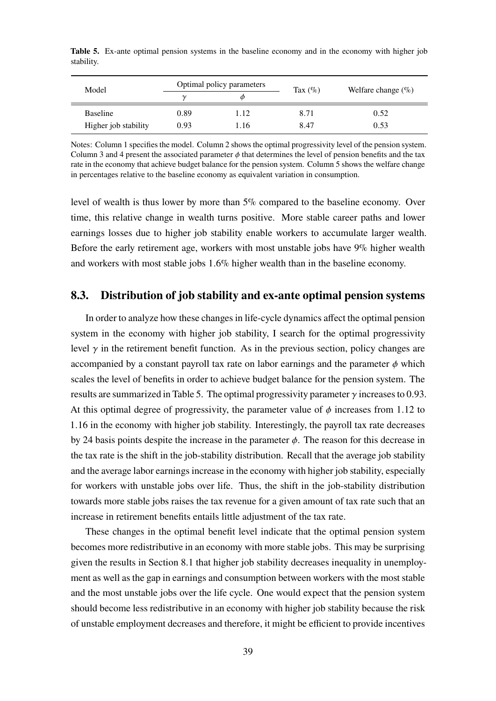| Model                |      | Optimal policy parameters |            | Welfare change $(\%)$ |
|----------------------|------|---------------------------|------------|-----------------------|
|                      |      | Ф                         | Tax $(\%)$ |                       |
| <b>Baseline</b>      | 0.89 | 1.12                      | 8.71       | 0.52                  |
| Higher job stability | 0.93 | 1.16                      | 8.47       | 0.53                  |

<span id="page-39-0"></span>**Table 5.** Ex-ante optimal pension systems in the baseline economy and in the economy with higher job stability.

Notes: Column 1 specifies the model. Column 2 shows the optimal progressivity level of the pension system. Column 3 and 4 present the associated parameter  $\phi$  that determines the level of pension benefits and the tax rate in the economy that achieve budget balance for the pension system. Column 5 shows the welfare change in percentages relative to the baseline economy as equivalent variation in consumption.

level of wealth is thus lower by more than 5% compared to the baseline economy. Over time, this relative change in wealth turns positive. More stable career paths and lower earnings losses due to higher job stability enable workers to accumulate larger wealth. Before the early retirement age, workers with most unstable jobs have 9% higher wealth and workers with most stable jobs 1.6% higher wealth than in the baseline economy.

## **8.3. Distribution of job stability and ex-ante optimal pension systems**

In order to analyze how these changes in life-cycle dynamics affect the optimal pension system in the economy with higher job stability, I search for the optimal progressivity level  $\gamma$  in the retirement benefit function. As in the previous section, policy changes are accompanied by a constant payroll tax rate on labor earnings and the parameter  $\phi$  which scales the level of benefits in order to achieve budget balance for the pension system. The results are summarized in Table [5.](#page-39-0) The optimal progressivity parameter  $\gamma$  increases to 0.93. At this optimal degree of progressivity, the parameter value of  $\phi$  increases from 1.12 to 1.16 in the economy with higher job stability. Interestingly, the payroll tax rate decreases by 24 basis points despite the increase in the parameter  $\phi$ . The reason for this decrease in the tax rate is the shift in the job-stability distribution. Recall that the average job stability and the average labor earnings increase in the economy with higher job stability, especially for workers with unstable jobs over life. Thus, the shift in the job-stability distribution towards more stable jobs raises the tax revenue for a given amount of tax rate such that an increase in retirement benefits entails little adjustment of the tax rate.

These changes in the optimal benefit level indicate that the optimal pension system becomes more redistributive in an economy with more stable jobs. This may be surprising given the results in Section [8.1](#page-35-1) that higher job stability decreases inequality in unemployment as well as the gap in earnings and consumption between workers with the most stable and the most unstable jobs over the life cycle. One would expect that the pension system should become less redistributive in an economy with higher job stability because the risk of unstable employment decreases and therefore, it might be efficient to provide incentives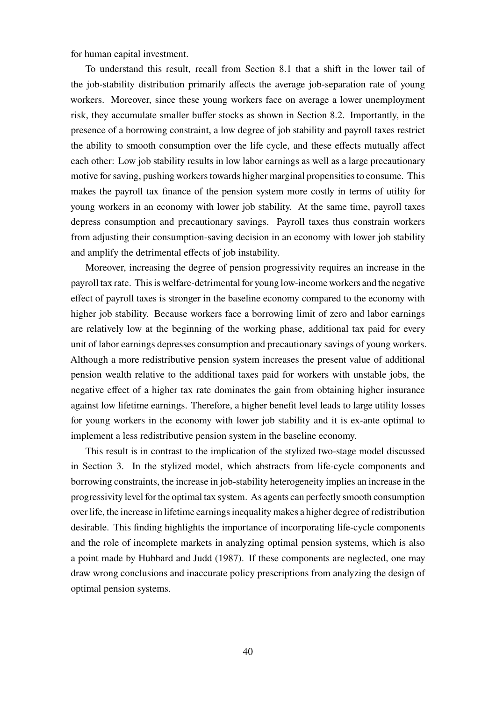for human capital investment.

To understand this result, recall from Section [8.1](#page-35-1) that a shift in the lower tail of the job-stability distribution primarily affects the average job-separation rate of young workers. Moreover, since these young workers face on average a lower unemployment risk, they accumulate smaller buffer stocks as shown in Section [8.2.](#page-37-0) Importantly, in the presence of a borrowing constraint, a low degree of job stability and payroll taxes restrict the ability to smooth consumption over the life cycle, and these effects mutually affect each other: Low job stability results in low labor earnings as well as a large precautionary motive for saving, pushing workers towards higher marginal propensities to consume. This makes the payroll tax finance of the pension system more costly in terms of utility for young workers in an economy with lower job stability. At the same time, payroll taxes depress consumption and precautionary savings. Payroll taxes thus constrain workers from adjusting their consumption-saving decision in an economy with lower job stability and amplify the detrimental effects of job instability.

Moreover, increasing the degree of pension progressivity requires an increase in the payroll tax rate. This is welfare-detrimental for young low-income workers and the negative effect of payroll taxes is stronger in the baseline economy compared to the economy with higher job stability. Because workers face a borrowing limit of zero and labor earnings are relatively low at the beginning of the working phase, additional tax paid for every unit of labor earnings depresses consumption and precautionary savings of young workers. Although a more redistributive pension system increases the present value of additional pension wealth relative to the additional taxes paid for workers with unstable jobs, the negative effect of a higher tax rate dominates the gain from obtaining higher insurance against low lifetime earnings. Therefore, a higher benefit level leads to large utility losses for young workers in the economy with lower job stability and it is ex-ante optimal to implement a less redistributive pension system in the baseline economy.

<span id="page-40-0"></span>This result is in contrast to the implication of the stylized two-stage model discussed in Section [3.](#page-5-0) In the stylized model, which abstracts from life-cycle components and borrowing constraints, the increase in job-stability heterogeneity implies an increase in the progressivity level for the optimal tax system. As agents can perfectly smooth consumption over life, the increase in lifetime earnings inequality makes a higher degree of redistribution desirable. This finding highlights the importance of incorporating life-cycle components and the role of incomplete markets in analyzing optimal pension systems, which is also a point made by [Hubbard and Judd \(1987\)](#page-45-6). If these components are neglected, one may draw wrong conclusions and inaccurate policy prescriptions from analyzing the design of optimal pension systems.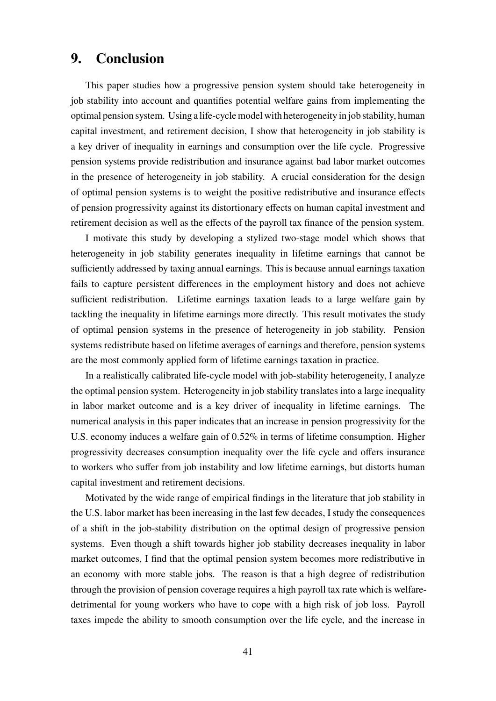# **9. Conclusion**

This paper studies how a progressive pension system should take heterogeneity in job stability into account and quantifies potential welfare gains from implementing the optimal pension system. Using a life-cycle model with heterogeneity in job stability, human capital investment, and retirement decision, I show that heterogeneity in job stability is a key driver of inequality in earnings and consumption over the life cycle. Progressive pension systems provide redistribution and insurance against bad labor market outcomes in the presence of heterogeneity in job stability. A crucial consideration for the design of optimal pension systems is to weight the positive redistributive and insurance effects of pension progressivity against its distortionary effects on human capital investment and retirement decision as well as the effects of the payroll tax finance of the pension system.

I motivate this study by developing a stylized two-stage model which shows that heterogeneity in job stability generates inequality in lifetime earnings that cannot be sufficiently addressed by taxing annual earnings. This is because annual earnings taxation fails to capture persistent differences in the employment history and does not achieve sufficient redistribution. Lifetime earnings taxation leads to a large welfare gain by tackling the inequality in lifetime earnings more directly. This result motivates the study of optimal pension systems in the presence of heterogeneity in job stability. Pension systems redistribute based on lifetime averages of earnings and therefore, pension systems are the most commonly applied form of lifetime earnings taxation in practice.

In a realistically calibrated life-cycle model with job-stability heterogeneity, I analyze the optimal pension system. Heterogeneity in job stability translates into a large inequality in labor market outcome and is a key driver of inequality in lifetime earnings. The numerical analysis in this paper indicates that an increase in pension progressivity for the U.S. economy induces a welfare gain of 0.52% in terms of lifetime consumption. Higher progressivity decreases consumption inequality over the life cycle and offers insurance to workers who suffer from job instability and low lifetime earnings, but distorts human capital investment and retirement decisions.

Motivated by the wide range of empirical findings in the literature that job stability in the U.S. labor market has been increasing in the last few decades, I study the consequences of a shift in the job-stability distribution on the optimal design of progressive pension systems. Even though a shift towards higher job stability decreases inequality in labor market outcomes, I find that the optimal pension system becomes more redistributive in an economy with more stable jobs. The reason is that a high degree of redistribution through the provision of pension coverage requires a high payroll tax rate which is welfaredetrimental for young workers who have to cope with a high risk of job loss. Payroll taxes impede the ability to smooth consumption over the life cycle, and the increase in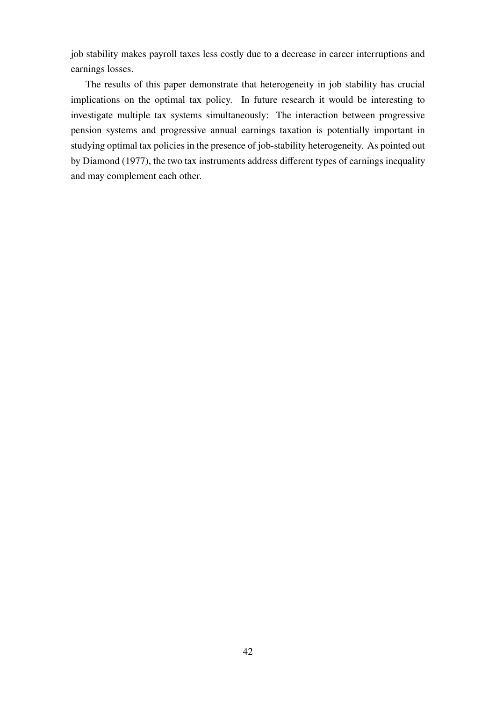job stability makes payroll taxes less costly due to a decrease in career interruptions and earnings losses.

The results of this paper demonstrate that heterogeneity in job stability has crucial implications on the optimal tax policy. In future research it would be interesting to investigate multiple tax systems simultaneously: The interaction between progressive pension systems and progressive annual earnings taxation is potentially important in studying optimal tax policies in the presence of job-stability heterogeneity. As pointed out by [Diamond \(1977\)](#page-44-12), the two tax instruments address different types of earnings inequality and may complement each other.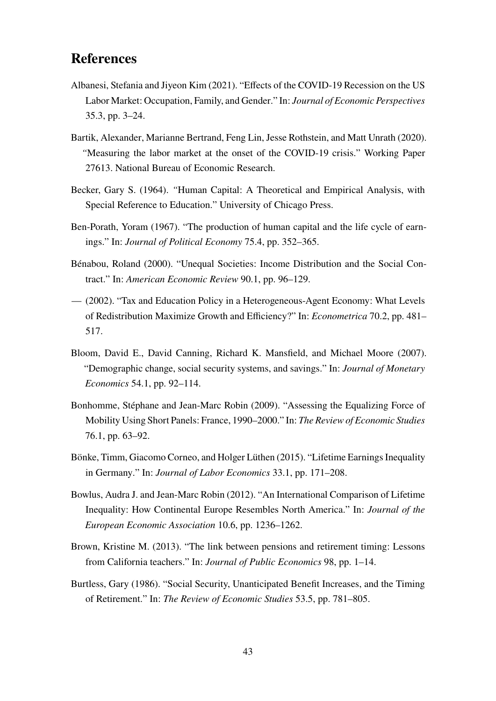# **References**

- <span id="page-43-9"></span>Albanesi, Stefania and Jiyeon Kim (2021). "Effects of the COVID-19 Recession on the US Labor Market: Occupation, Family, and Gender." In: *Journal of Economic Perspectives* 35.3, pp. 3–24.
- <span id="page-43-8"></span>Bartik, Alexander, Marianne Bertrand, Feng Lin, Jesse Rothstein, and Matt Unrath (2020). *"*Measuring the labor market at the onset of the COVID-19 crisis." Working Paper 27613. National Bureau of Economic Research.
- <span id="page-43-0"></span>Becker, Gary S. (1964). *"*Human Capital: A Theoretical and Empirical Analysis, with Special Reference to Education." University of Chicago Press.
- <span id="page-43-1"></span>Ben-Porath, Yoram (1967). "The production of human capital and the life cycle of earnings." In: *Journal of Political Economy* 75.4, pp. 352–365.
- Bénabou, Roland (2000). "Unequal Societies: Income Distribution and the Social Contract." In: *American Economic Review* 90.1, pp. 96–129.
- (2002). "Tax and Education Policy in a Heterogeneous-Agent Economy: What Levels of Redistribution Maximize Growth and Efficiency?" In: *Econometrica* 70.2, pp. 481– 517.
- <span id="page-43-5"></span>Bloom, David E., David Canning, Richard K. Mansfield, and Michael Moore (2007). "Demographic change, social security systems, and savings." In: *Journal of Monetary Economics* 54.1, pp. 92–114.
- <span id="page-43-2"></span>Bonhomme, Stéphane and Jean-Marc Robin (2009). "Assessing the Equalizing Force of Mobility Using Short Panels: France, 1990–2000." In: *The Review of Economic Studies* 76.1, pp. 63–92.
- <span id="page-43-4"></span>Bönke, Timm, Giacomo Corneo, and Holger Lüthen (2015). "Lifetime Earnings Inequality in Germany." In: *Journal of Labor Economics* 33.1, pp. 171–208.
- <span id="page-43-3"></span>Bowlus, Audra J. and Jean-Marc Robin (2012). "An International Comparison of Lifetime Inequality: How Continental Europe Resembles North America." In: *Journal of the European Economic Association* 10.6, pp. 1236–1262.
- <span id="page-43-6"></span>Brown, Kristine M. (2013). "The link between pensions and retirement timing: Lessons from California teachers." In: *Journal of Public Economics* 98, pp. 1–14.
- <span id="page-43-7"></span>Burtless, Gary (1986). "Social Security, Unanticipated Benefit Increases, and the Timing of Retirement." In: *The Review of Economic Studies* 53.5, pp. 781–805.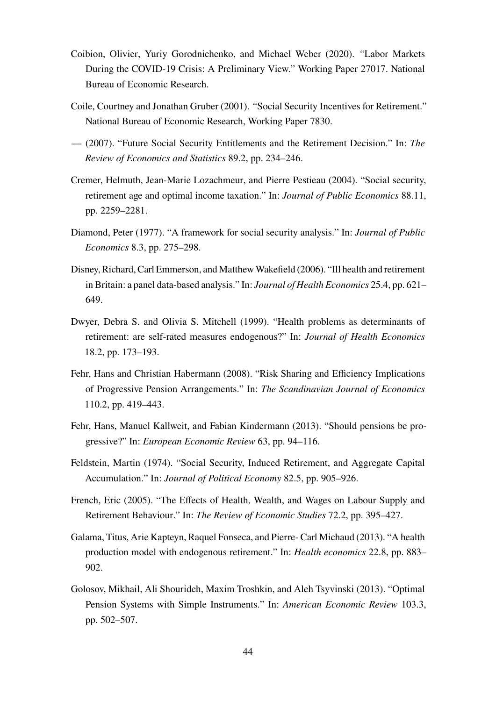- <span id="page-44-11"></span>Coibion, Olivier, Yuriy Gorodnichenko, and Michael Weber (2020). *"*Labor Markets During the COVID-19 Crisis: A Preliminary View." Working Paper 27017. National Bureau of Economic Research.
- <span id="page-44-4"></span>Coile, Courtney and Jonathan Gruber (2001). *"*Social Security Incentives for Retirement." National Bureau of Economic Research, Working Paper 7830.
- <span id="page-44-9"></span>— (2007). "Future Social Security Entitlements and the Retirement Decision." In: *The Review of Economics and Statistics* 89.2, pp. 234–246.
- <span id="page-44-5"></span>Cremer, Helmuth, Jean-Marie Lozachmeur, and Pierre Pestieau (2004). "Social security, retirement age and optimal income taxation." In: *Journal of Public Economics* 88.11, pp. 2259–2281.
- <span id="page-44-12"></span>Diamond, Peter (1977). "A framework for social security analysis." In: *Journal of Public Economics* 8.3, pp. 275–298.
- <span id="page-44-7"></span>Disney, Richard, Carl Emmerson, and MatthewWakefield (2006). "Ill health and retirement in Britain: a panel data-based analysis." In: *Journal of Health Economics* 25.4, pp. 621– 649.
- <span id="page-44-6"></span>Dwyer, Debra S. and Olivia S. Mitchell (1999). "Health problems as determinants of retirement: are self-rated measures endogenous?" In: *Journal of Health Economics* 18.2, pp. 173–193.
- <span id="page-44-1"></span>Fehr, Hans and Christian Habermann (2008). "Risk Sharing and Efficiency Implications of Progressive Pension Arrangements." In: *The Scandinavian Journal of Economics* 110.2, pp. 419–443.
- <span id="page-44-2"></span>Fehr, Hans, Manuel Kallweit, and Fabian Kindermann (2013). "Should pensions be progressive?" In: *European Economic Review* 63, pp. 94–116.
- <span id="page-44-0"></span>Feldstein, Martin (1974). "Social Security, Induced Retirement, and Aggregate Capital Accumulation." In: *Journal of Political Economy* 82.5, pp. 905–926.
- <span id="page-44-10"></span>French, Eric (2005). "The Effects of Health, Wealth, and Wages on Labour Supply and Retirement Behaviour." In: *The Review of Economic Studies* 72.2, pp. 395–427.
- <span id="page-44-8"></span>Galama, Titus, Arie Kapteyn, Raquel Fonseca, and Pierre- Carl Michaud (2013). "A health production model with endogenous retirement." In: *Health economics* 22.8, pp. 883– 902.
- <span id="page-44-3"></span>Golosov, Mikhail, Ali Shourideh, Maxim Troshkin, and Aleh Tsyvinski (2013). "Optimal Pension Systems with Simple Instruments." In: *American Economic Review* 103.3, pp. 502–507.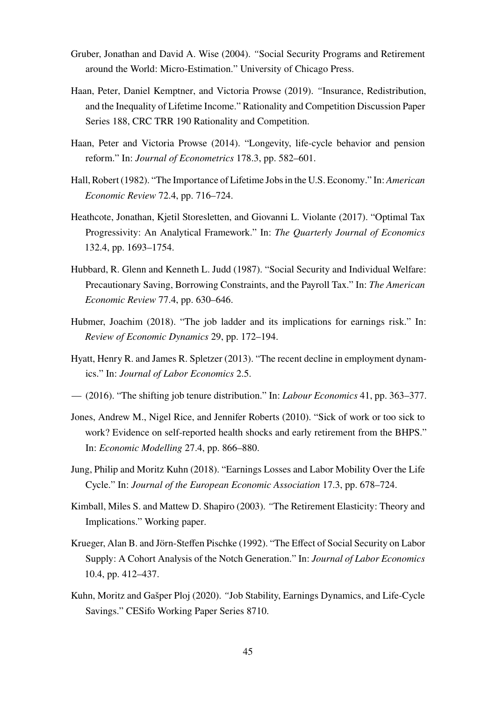- <span id="page-45-8"></span>Gruber, Jonathan and David A. Wise (2004). *"*Social Security Programs and Retirement around the World: Micro-Estimation." University of Chicago Press.
- <span id="page-45-5"></span>Haan, Peter, Daniel Kemptner, and Victoria Prowse (2019). *"*Insurance, Redistribution, and the Inequality of Lifetime Income." Rationality and Competition Discussion Paper Series 188, CRC TRR 190 Rationality and Competition.
- <span id="page-45-9"></span>Haan, Peter and Victoria Prowse (2014). "Longevity, life-cycle behavior and pension reform." In: *Journal of Econometrics* 178.3, pp. 582–601.
- <span id="page-45-0"></span>Hall, Robert (1982). "The Importance of Lifetime Jobs in the U.S. Economy." In: *American Economic Review* 72.4, pp. 716–724.
- <span id="page-45-10"></span>Heathcote, Jonathan, Kjetil Storesletten, and Giovanni L. Violante (2017). "Optimal Tax Progressivity: An Analytical Framework." In: *The Quarterly Journal of Economics* 132.4, pp. 1693–1754.
- <span id="page-45-6"></span>Hubbard, R. Glenn and Kenneth L. Judd (1987). "Social Security and Individual Welfare: Precautionary Saving, Borrowing Constraints, and the Payroll Tax." In: *The American Economic Review* 77.4, pp. 630–646.
- <span id="page-45-2"></span>Hubmer, Joachim (2018). "The job ladder and its implications for earnings risk." In: *Review of Economic Dynamics* 29, pp. 172–194.
- <span id="page-45-4"></span>Hyatt, Henry R. and James R. Spletzer (2013). "The recent decline in employment dynamics." In: *Journal of Labor Economics* 2.5.
- <span id="page-45-13"></span>— (2016). "The shifting job tenure distribution." In: *Labour Economics* 41, pp. 363–377.
- <span id="page-45-11"></span>Jones, Andrew M., Nigel Rice, and Jennifer Roberts (2010). "Sick of work or too sick to work? Evidence on self-reported health shocks and early retirement from the BHPS." In: *Economic Modelling* 27.4, pp. 866–880.
- <span id="page-45-3"></span>Jung, Philip and Moritz Kuhn (2018). "Earnings Losses and Labor Mobility Over the Life Cycle." In: *Journal of the European Economic Association* 17.3, pp. 678–724.
- <span id="page-45-12"></span>Kimball, Miles S. and Mattew D. Shapiro (2003). *"*The Retirement Elasticity: Theory and Implications." Working paper.
- <span id="page-45-7"></span>Krueger, Alan B. and Jörn-Steffen Pischke (1992). "The Effect of Social Security on Labor Supply: A Cohort Analysis of the Notch Generation." In: *Journal of Labor Economics* 10.4, pp. 412–437.
- <span id="page-45-1"></span>Kuhn, Moritz and Gašper Ploj (2020). *"*Job Stability, Earnings Dynamics, and Life-Cycle Savings." CESifo Working Paper Series 8710.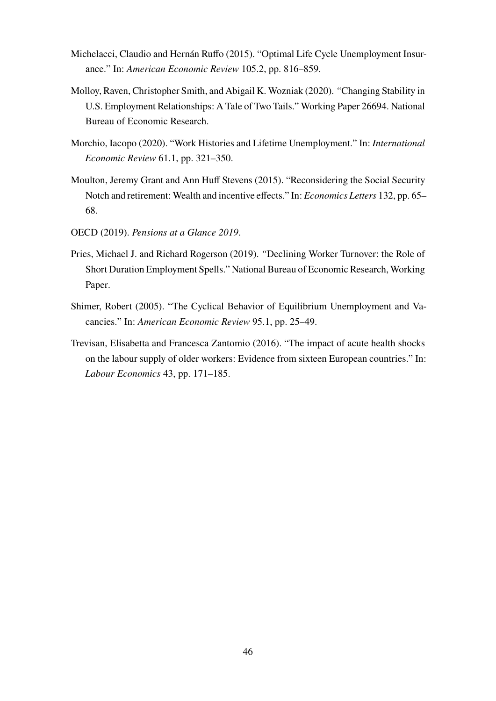- <span id="page-46-1"></span>Michelacci, Claudio and Hernán Ruffo (2015). "Optimal Life Cycle Unemployment Insurance." In: *American Economic Review* 105.2, pp. 816–859.
- <span id="page-46-3"></span>Molloy, Raven, Christopher Smith, and Abigail K. Wozniak (2020). *"*Changing Stability in U.S. Employment Relationships: A Tale of Two Tails." Working Paper 26694. National Bureau of Economic Research.
- <span id="page-46-0"></span>Morchio, Iacopo (2020). "Work Histories and Lifetime Unemployment." In: *International Economic Review* 61.1, pp. 321–350.
- <span id="page-46-7"></span>Moulton, Jeremy Grant and Ann Huff Stevens (2015). "Reconsidering the Social Security Notch and retirement: Wealth and incentive effects." In: *Economics Letters* 132, pp. 65– 68.
- <span id="page-46-5"></span>OECD (2019). *Pensions at a Glance 2019*.
- <span id="page-46-2"></span>Pries, Michael J. and Richard Rogerson (2019). *"*Declining Worker Turnover: the Role of Short Duration Employment Spells." National Bureau of Economic Research, Working Paper.
- <span id="page-46-4"></span>Shimer, Robert (2005). "The Cyclical Behavior of Equilibrium Unemployment and Vacancies." In: *American Economic Review* 95.1, pp. 25–49.
- <span id="page-46-6"></span>Trevisan, Elisabetta and Francesca Zantomio (2016). "The impact of acute health shocks on the labour supply of older workers: Evidence from sixteen European countries." In: *Labour Economics* 43, pp. 171–185.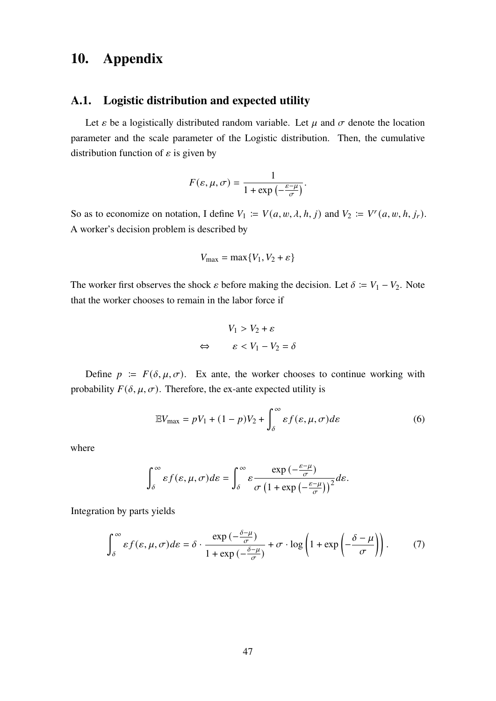# <span id="page-47-1"></span>**10. Appendix**

## <span id="page-47-0"></span>**A.1. Logistic distribution and expected utility**

Let  $\varepsilon$  be a logistically distributed random variable. Let  $\mu$  and  $\sigma$  denote the location parameter and the scale parameter of the Logistic distribution. Then, the cumulative distribution function of  $\varepsilon$  is given by

$$
F(\varepsilon, \mu, \sigma) = \frac{1}{1 + \exp\left(-\frac{\varepsilon - \mu}{\sigma}\right)}.
$$

So as to economize on notation, I define  $V_1 := V(a, w, \lambda, h, j)$  and  $V_2 := V^r(a, w, h, j_r)$ . A worker's decision problem is described by

$$
V_{\text{max}} = \max\{V_1, V_2 + \varepsilon\}
$$

The worker first observes the shock  $\varepsilon$  before making the decision. Let  $\delta := V_1 - V_2$ . Note that the worker chooses to remain in the labor force if

<span id="page-47-3"></span>
$$
V_1 > V_2 + \varepsilon
$$
\n
$$
\Leftrightarrow \qquad \varepsilon < V_1 - V_2 = \delta
$$

Define  $p := F(\delta, \mu, \sigma)$ . Ex ante, the worker chooses to continue working with probability  $F(\delta, \mu, \sigma)$ . Therefore, the ex-ante expected utility is

$$
\mathbb{E}V_{\text{max}} = pV_1 + (1 - p)V_2 + \int_{\delta}^{\infty} \varepsilon f(\varepsilon, \mu, \sigma) d\varepsilon \tag{6}
$$

where

<span id="page-47-2"></span>
$$
\int_{\delta}^{\infty} \varepsilon f(\varepsilon, \mu, \sigma) d\varepsilon = \int_{\delta}^{\infty} \varepsilon \frac{\exp\left(-\frac{\varepsilon - \mu}{\sigma}\right)}{\sigma \left(1 + \exp\left(-\frac{\varepsilon - \mu}{\sigma}\right)\right)^2} d\varepsilon.
$$

Integration by parts yields

$$
\int_{\delta}^{\infty} \varepsilon f(\varepsilon, \mu, \sigma) d\varepsilon = \delta \cdot \frac{\exp\left(-\frac{\delta - \mu}{\sigma}\right)}{1 + \exp\left(-\frac{\delta - \mu}{\sigma}\right)} + \sigma \cdot \log\left(1 + \exp\left(-\frac{\delta - \mu}{\sigma}\right)\right). \tag{7}
$$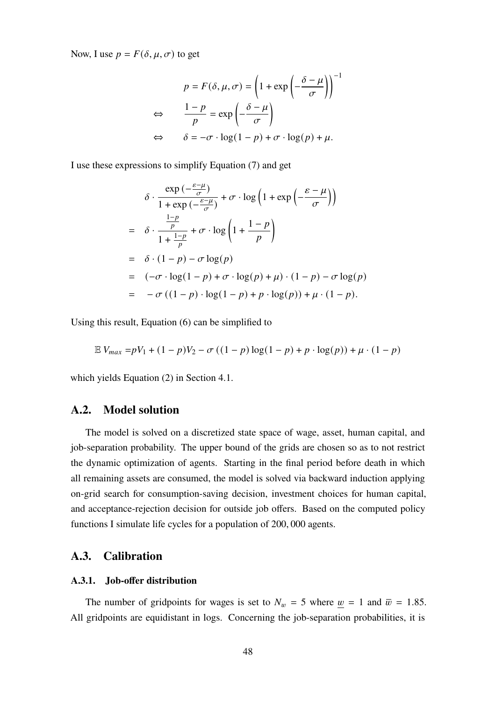Now, I use  $p = F(\delta, \mu, \sigma)$  to get

$$
p = F(\delta, \mu, \sigma) = \left(1 + \exp\left(-\frac{\delta - \mu}{\sigma}\right)\right)^{-1}
$$

$$
\Leftrightarrow \qquad \frac{1 - p}{p} = \exp\left(-\frac{\delta - \mu}{\sigma}\right)
$$

$$
\Leftrightarrow \qquad \delta = -\sigma \cdot \log(1 - p) + \sigma \cdot \log(p) + \mu.
$$

I use these expressions to simplify Equation [\(7\)](#page-47-2) and get

$$
\delta \cdot \frac{\exp\left(-\frac{\varepsilon-\mu}{\sigma}\right)}{1+\exp\left(-\frac{\varepsilon-\mu}{\sigma}\right)} + \sigma \cdot \log\left(1+\exp\left(-\frac{\varepsilon-\mu}{\sigma}\right)\right)
$$
  
= 
$$
\delta \cdot \frac{\frac{1-p}{p}}{1+\frac{1-p}{p}} + \sigma \cdot \log\left(1+\frac{1-p}{p}\right)
$$
  
= 
$$
\delta \cdot (1-p) - \sigma \log(p)
$$
  
= 
$$
(-\sigma \cdot \log(1-p) + \sigma \cdot \log(p) + \mu) \cdot (1-p) - \sigma \log(p)
$$
  
= 
$$
-\sigma \left((1-p) \cdot \log(1-p) + p \cdot \log(p)\right) + \mu \cdot (1-p).
$$

Using this result, Equation [\(6\)](#page-47-3) can be simplified to

$$
\mathbb{E} V_{max} = pV_1 + (1 - p)V_2 - \sigma ((1 - p) \log(1 - p) + p \cdot \log(p)) + \mu \cdot (1 - p)
$$

which yields Equation [\(2\)](#page-17-2) in Section [4.1.](#page-15-0)

#### **A.2. Model solution**

The model is solved on a discretized state space of wage, asset, human capital, and job-separation probability. The upper bound of the grids are chosen so as to not restrict the dynamic optimization of agents. Starting in the final period before death in which all remaining assets are consumed, the model is solved via backward induction applying on-grid search for consumption-saving decision, investment choices for human capital, and acceptance-rejection decision for outside job offers. Based on the computed policy functions I simulate life cycles for a population of 200, 000 agents.

## <span id="page-48-1"></span>**A.3. Calibration**

### <span id="page-48-0"></span>**A.3.1. Job-offer distribution**

The number of gridpoints for wages is set to  $N_w = 5$  where  $\mu = 1$  and  $\bar{w} = 1.85$ . All gridpoints are equidistant in logs. Concerning the job-separation probabilities, it is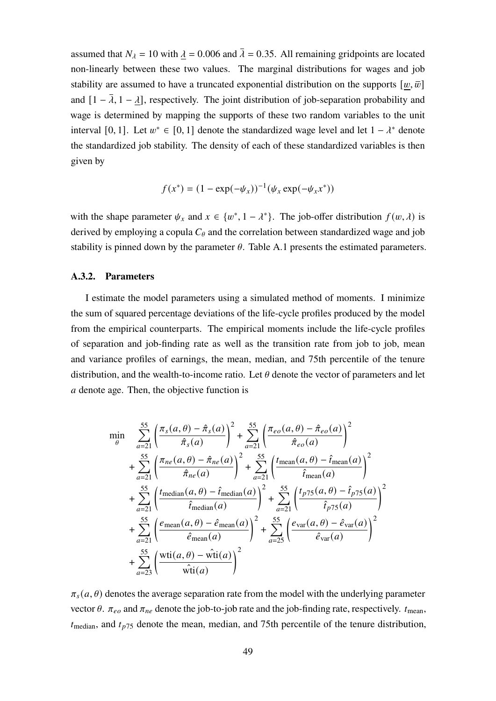assumed that  $N_{\lambda} = 10$  with  $\lambda = 0.006$  and  $\overline{\lambda} = 0.35$ . All remaining gridpoints are located non-linearly between these two values. The marginal distributions for wages and job stability are assumed to have a truncated exponential distribution on the supports  $[w, \overline{w}]$ and  $[1 - \overline{\lambda}, 1 - \lambda]$ , respectively. The joint distribution of job-separation probability and wage is determined by mapping the supports of these two random variables to the unit interval [0, 1]. Let  $w^* \in [0, 1]$  denote the standardized wage level and let  $1 - \lambda^*$  denote the standardized job stability. The density of each of these standardized variables is then given by

$$
f(x^*) = (1 - \exp(-\psi_x))^{-1}(\psi_x \exp(-\psi_x x^*))
$$

with the shape parameter  $\psi_x$  and  $x \in \{w^*, 1 - \lambda^*\}$ . The job-offer distribution  $f(w, \lambda)$  is derived by employing a copula  $C_{\theta}$  and the correlation between standardized wage and job stability is pinned down by the parameter  $\theta$ . Table [A.1](#page-50-1) presents the estimated parameters.

#### **A.3.2. Parameters**

I estimate the model parameters using a simulated method of moments. I minimize the sum of squared percentage deviations of the life-cycle profiles produced by the model from the empirical counterparts. The empirical moments include the life-cycle profiles of separation and job-finding rate as well as the transition rate from job to job, mean and variance profiles of earnings, the mean, median, and 75th percentile of the tenure distribution, and the wealth-to-income ratio. Let  $\theta$  denote the vector of parameters and let denote age. Then, the objective function is

$$
\min_{\theta} \sum_{a=21}^{55} \left( \frac{\pi_s(a, \theta) - \hat{\pi}_s(a)}{\hat{\pi}_s(a)} \right)^2 + \sum_{a=21}^{55} \left( \frac{\pi_{eo}(a, \theta) - \hat{\pi}_{eo}(a)}{\hat{\pi}_{eo}(a)} \right)^2
$$
  
+ 
$$
\sum_{a=21}^{55} \left( \frac{\pi_{ne}(a, \theta) - \hat{\pi}_{ne}(a)}{\hat{\pi}_{ne}(a)} \right)^2 + \sum_{a=21}^{55} \left( \frac{t_{\text{mean}}(a, \theta) - \hat{t}_{\text{mean}}(a)}{\hat{t}_{\text{mean}}(a)} \right)^2
$$
  
+ 
$$
\sum_{a=21}^{55} \left( \frac{t_{\text{median}}(a, \theta) - \hat{t}_{\text{median}}(a)}{\hat{t}_{\text{median}}(a)} \right)^2 + \sum_{a=21}^{55} \left( \frac{t_{p75}(a, \theta) - \hat{t}_{p75}(a)}{\hat{t}_{p75}(a)} \right)^2
$$
  
+ 
$$
\sum_{a=21}^{55} \left( \frac{e_{\text{mean}}(a, \theta) - \hat{e}_{\text{mean}}(a)}{\hat{e}_{\text{mean}}(a)} \right)^2 + \sum_{a=25}^{55} \left( \frac{e_{\text{var}}(a, \theta) - \hat{e}_{\text{var}}(a)}{\hat{e}_{\text{var}}(a)} \right)^2
$$
  
+ 
$$
\sum_{a=23}^{55} \left( \frac{\text{wti}(a, \theta) - \text{wti}(a)}{\text{wti}(a)} \right)^2
$$

 $\pi_s(a, \theta)$  denotes the average separation rate from the model with the underlying parameter vector  $\theta$ .  $\pi_{eo}$  and  $\pi_{ne}$  denote the job-to-job rate and the job-finding rate, respectively.  $t_{\text{mean}}$ ,  $t_{\text{median}}$ , and  $t_{p75}$  denote the mean, median, and 75th percentile of the tenure distribution,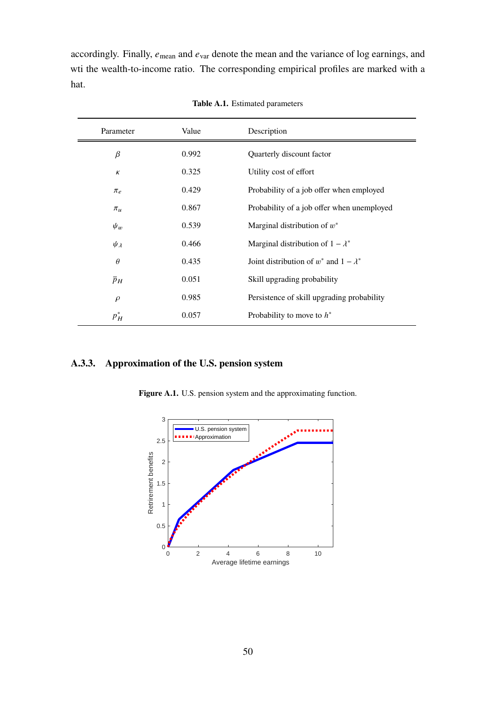accordingly. Finally,  $e_{\text{mean}}$  and  $e_{\text{var}}$  denote the mean and the variance of log earnings, and wti the wealth-to-income ratio. The corresponding empirical profiles are marked with a hat.

<span id="page-50-1"></span>

| Parameter        | Value | Description                                     |
|------------------|-------|-------------------------------------------------|
| $\beta$          | 0.992 | Quarterly discount factor                       |
| $\kappa$         | 0.325 | Utility cost of effort                          |
| $\pi_e$          | 0.429 | Probability of a job offer when employed        |
| $\pi_u$          | 0.867 | Probability of a job offer when unemployed      |
| $\psi_w$         | 0.539 | Marginal distribution of $w^*$                  |
| $\psi_{\lambda}$ | 0.466 | Marginal distribution of $1 - \lambda^*$        |
| $\theta$         | 0.435 | Joint distribution of $w^*$ and $1 - \lambda^*$ |
| $\bar{p}_H$      | 0.051 | Skill upgrading probability                     |
| $\rho$           | 0.985 | Persistence of skill upgrading probability      |
| $p_H^*$          | 0.057 | Probability to move to $h^*$                    |

**Table A.1.** Estimated parameters

## <span id="page-50-0"></span>**A.3.3. Approximation of the U.S. pension system**

**Figure A.1.** U.S. pension system and the approximating function.

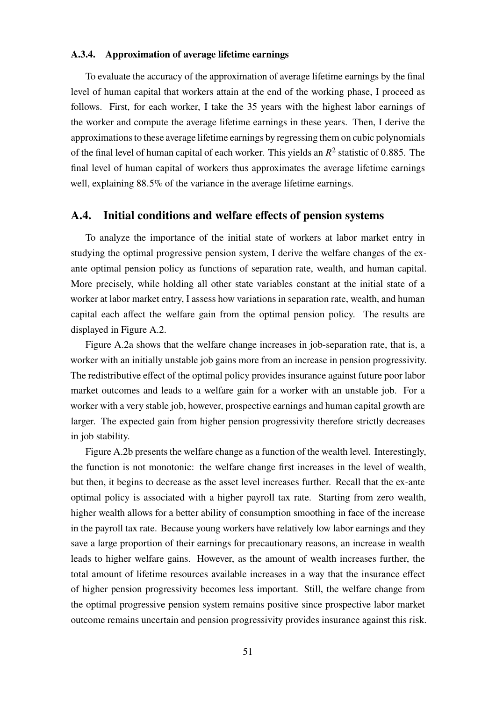#### <span id="page-51-0"></span>**A.3.4. Approximation of average lifetime earnings**

To evaluate the accuracy of the approximation of average lifetime earnings by the final level of human capital that workers attain at the end of the working phase, I proceed as follows. First, for each worker, I take the 35 years with the highest labor earnings of the worker and compute the average lifetime earnings in these years. Then, I derive the approximations to these average lifetime earnings by regressing them on cubic polynomials of the final level of human capital of each worker. This yields an  $R^2$  statistic of 0.885. The final level of human capital of workers thus approximates the average lifetime earnings well, explaining 88.5% of the variance in the average lifetime earnings.

## **A.4. Initial conditions and welfare effects of pension systems**

To analyze the importance of the initial state of workers at labor market entry in studying the optimal progressive pension system, I derive the welfare changes of the exante optimal pension policy as functions of separation rate, wealth, and human capital. More precisely, while holding all other state variables constant at the initial state of a worker at labor market entry, I assess how variations in separation rate, wealth, and human capital each affect the welfare gain from the optimal pension policy. The results are displayed in Figure [A.2.](#page-52-0)

Figure [A.2a](#page-52-0) shows that the welfare change increases in job-separation rate, that is, a worker with an initially unstable job gains more from an increase in pension progressivity. The redistributive effect of the optimal policy provides insurance against future poor labor market outcomes and leads to a welfare gain for a worker with an unstable job. For a worker with a very stable job, however, prospective earnings and human capital growth are larger. The expected gain from higher pension progressivity therefore strictly decreases in job stability.

Figure [A.2b](#page-52-0) presents the welfare change as a function of the wealth level. Interestingly, the function is not monotonic: the welfare change first increases in the level of wealth, but then, it begins to decrease as the asset level increases further. Recall that the ex-ante optimal policy is associated with a higher payroll tax rate. Starting from zero wealth, higher wealth allows for a better ability of consumption smoothing in face of the increase in the payroll tax rate. Because young workers have relatively low labor earnings and they save a large proportion of their earnings for precautionary reasons, an increase in wealth leads to higher welfare gains. However, as the amount of wealth increases further, the total amount of lifetime resources available increases in a way that the insurance effect of higher pension progressivity becomes less important. Still, the welfare change from the optimal progressive pension system remains positive since prospective labor market outcome remains uncertain and pension progressivity provides insurance against this risk.